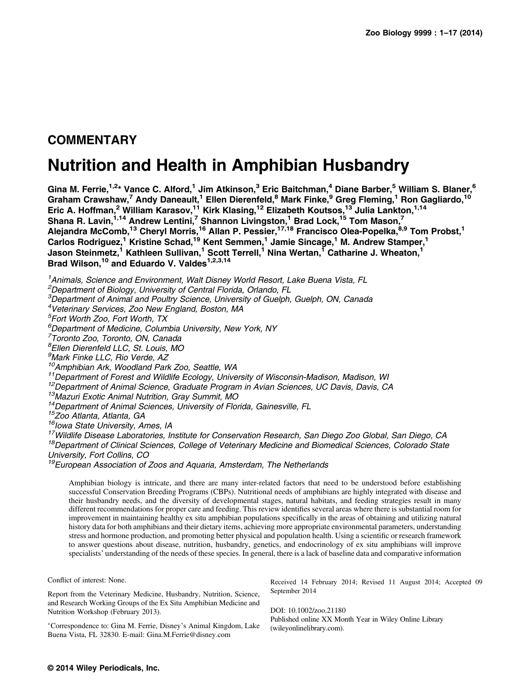# **COMMENTARY**

# Nutrition and Health in Amphibian Husbandry

Gina M. Ferrie,<sup>1,2\*</sup> Vance C. Alford,<sup>1</sup> Jim Atkinson,<sup>3</sup> Eric Baitchman,<sup>4</sup> Diane Barber,<sup>5</sup> William S. Blaner,<sup>6</sup> Graham Crawshaw,<sup>7</sup> Andy Daneault,<sup>1</sup> Ellen Dierenfeld,<sup>8</sup> Mark Finke,<sup>9</sup> Greg Fleming,<sup>1</sup> Ron Gagliardo,<sup>10</sup> Eric A. Hoffman,<sup>2</sup> William Karasov,<sup>11</sup> Kirk Klasing,<sup>12</sup> Elizabeth Koutsos,<sup>13</sup> Julia Lankton,<sup>1,14</sup> Shana R. Lavin, $^{1,14}$  Andrew Lentini, $^7$  Shannon Livingston, $^1$  Brad Lock, $^{15}$  Tom Mason, $^7$ Alejandra McComb,<sup>13</sup> Cheryl Morris,<sup>16</sup> Allan P. Pessier,<sup>17,18</sup> Francisco Olea-Popelka,<sup>8,9</sup> Tom Probst,<sup>1</sup> Carlos Rodriguez,<sup>1</sup> Kristine Schad,<sup>19</sup> Kent Semmen,<sup>1</sup> Jamie Sincage,<sup>1</sup> M. Andrew Stamper,<sup>1</sup> Jason Steinmetz,<sup>1</sup> Kathleen Sullivan,<sup>1</sup> Scott Terrell,<sup>1</sup> Nina Wertan,<sup>1</sup> Catharine J. Wheaton,<sup>1</sup> Brad Wilson,<sup>10</sup> and Eduardo V. Valdes<sup>1,2,3,14</sup>

<sup>1</sup> Animals, Science and Environment, Walt Disney World Resort, Lake Buena Vista, FL <sup>2</sup>Department of Biology, University of Central Florida, Orlando, FL <sup>3</sup>Department of Animal and Poultry Science, University of Guelph, Guelph, ON, Canada 4 Veterinary Services, Zoo New England, Boston, MA 5 Fort Worth Zoo, Fort Worth, TX 6 Department of Medicine, Columbia University, New York, NY 7 Toronto Zoo, Toronto, ON, Canada 8 Ellen Dierenfeld LLC, St. Louis, MO <sup>9</sup>Mark Finke LLC, Rio Verde, AZ <sup>10</sup>Amphibian Ark, Woodland Park Zoo, Seattle, WA<br><sup>11</sup>Department of Forest and Wildlife Ecology, University of Wisconsin-Madison, Madison, WI<br><sup>12</sup>Department of Animal Science, Graduate Program in Avian Sciences, UC Davis,  $14$ Department of Animal Sciences, University of Florida, Gainesville, FL <sup>15</sup>Zoo Atlanta, Atlanta, GA<br><sup>16</sup>Iowa State University, Ames, IA <sup>17</sup>Wildlife Disease Laboratories, Institute for Conservation Research, San Diego Zoo Global, San Diego, CA <sup>18</sup>Department of Clinical Sciences, College of Veterinary Medicine and Biomedical Sciences, Colorado State University, Fort Collins, CO

<sup>19</sup>European Association of Zoos and Aquaria, Amsterdam, The Netherlands

Amphibian biology is intricate, and there are many inter‐related factors that need to be understood before establishing successful Conservation Breeding Programs (CBPs). Nutritional needs of amphibians are highly integrated with disease and their husbandry needs, and the diversity of developmental stages, natural habitats, and feeding strategies result in many different recommendations for proper care and feeding. This review identifies several areas where there is substantial room for improvement in maintaining healthy ex situ amphibian populations specifically in the areas of obtaining and utilizing natural history data for both amphibians and their dietary items, achieving more appropriate environmental parameters, understanding stress and hormone production, and promoting better physical and population health. Using a scientific or research framework to answer questions about disease, nutrition, husbandry, genetics, and endocrinology of ex situ amphibians will improve specialists' understanding of the needs of these species. In general, there is a lack of baseline data and comparative information

Conflict of interest: None.

Report from the Veterinary Medicine, Husbandry, Nutrition, Science, and Research Working Groups of the Ex Situ Amphibian Medicine and Nutrition Workshop (February 2013).

Correspondence to: Gina M. Ferrie, Disney's Animal Kingdom, Lake Buena Vista, FL 32830. E‐mail: Gina.M.Ferrie@disney.com

Received 14 February 2014; Revised 11 August 2014; Accepted 09 September 2014

DOI: 10.1002/zoo.21180 Published online XX Month Year in Wiley Online Library (wileyonlinelibrary.com).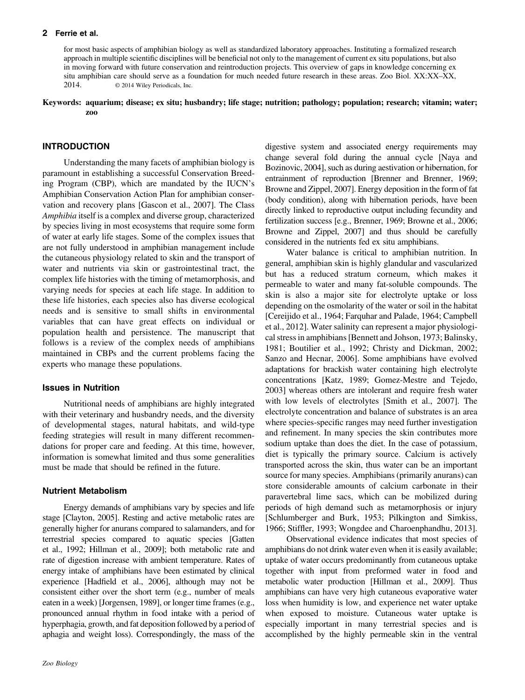for most basic aspects of amphibian biology as well as standardized laboratory approaches. Instituting a formalized research approach in multiple scientific disciplines will be beneficial not only to the management of current ex situ populations, but also in moving forward with future conservation and reintroduction projects. This overview of gaps in knowledge concerning ex situ amphibian care should serve as a foundation for much needed future research in these areas. Zoo Biol. XX:XX–XX, 2014.  $\degree$  2014 Wiley Periodicals, Inc.

Keywords: aquarium; disease; ex situ; husbandry; life stage; nutrition; pathology; population; research; vitamin; water; zoo

# **INTRODUCTION**

Understanding the many facets of amphibian biology is paramount in establishing a successful Conservation Breeding Program (CBP), which are mandated by the IUCN's Amphibian Conservation Action Plan for amphibian conservation and recovery plans [Gascon et al., 2007]. The Class Amphibia itself is a complex and diverse group, characterized by species living in most ecosystems that require some form of water at early life stages. Some of the complex issues that are not fully understood in amphibian management include the cutaneous physiology related to skin and the transport of water and nutrients via skin or gastrointestinal tract, the complex life histories with the timing of metamorphosis, and varying needs for species at each life stage. In addition to these life histories, each species also has diverse ecological needs and is sensitive to small shifts in environmental variables that can have great effects on individual or population health and persistence. The manuscript that follows is a review of the complex needs of amphibians maintained in CBPs and the current problems facing the experts who manage these populations.

#### Issues in Nutrition

Nutritional needs of amphibians are highly integrated with their veterinary and husbandry needs, and the diversity of developmental stages, natural habitats, and wild‐type feeding strategies will result in many different recommendations for proper care and feeding. At this time, however, information is somewhat limited and thus some generalities must be made that should be refined in the future.

#### Nutrient Metabolism

Energy demands of amphibians vary by species and life stage [Clayton, 2005]. Resting and active metabolic rates are generally higher for anurans compared to salamanders, and for terrestrial species compared to aquatic species [Gatten et al., 1992; Hillman et al., 2009]; both metabolic rate and rate of digestion increase with ambient temperature. Rates of energy intake of amphibians have been estimated by clinical experience [Hadfield et al., 2006], although may not be consistent either over the short term (e.g., number of meals eaten in a week) [Jorgensen, 1989], or longer time frames (e.g., pronounced annual rhythm in food intake with a period of hyperphagia, growth, and fat deposition followed by a period of aphagia and weight loss). Correspondingly, the mass of the

digestive system and associated energy requirements may change several fold during the annual cycle [Naya and Bozinovic, 2004], such as during aestivation or hibernation, for entrainment of reproduction [Brenner and Brenner, 1969; Browne and Zippel, 2007]. Energy deposition in the form of fat (body condition), along with hibernation periods, have been directly linked to reproductive output including fecundity and fertilization success [e.g., Brenner, 1969; Browne et al., 2006; Browne and Zippel, 2007] and thus should be carefully considered in the nutrients fed ex situ amphibians.

Water balance is critical to amphibian nutrition. In general, amphibian skin is highly glandular and vascularized but has a reduced stratum corneum, which makes it permeable to water and many fat‐soluble compounds. The skin is also a major site for electrolyte uptake or loss depending on the osmolarity of the water or soil in the habitat [Cereijido et al., 1964; Farquhar and Palade, 1964; Campbell et al., 2012]. Water salinity can represent a major physiological stress in amphibians [Bennett and Johson, 1973; Balinsky, 1981; Boutilier et al., 1992; Christy and Dickman, 2002; Sanzo and Hecnar, 2006]. Some amphibians have evolved adaptations for brackish water containing high electrolyte concentrations [Katz, 1989; Gomez‐Mestre and Tejedo, 2003] whereas others are intolerant and require fresh water with low levels of electrolytes [Smith et al., 2007]. The electrolyte concentration and balance of substrates is an area where species-specific ranges may need further investigation and refinement. In many species the skin contributes more sodium uptake than does the diet. In the case of potassium, diet is typically the primary source. Calcium is actively transported across the skin, thus water can be an important source for many species. Amphibians (primarily anurans) can store considerable amounts of calcium carbonate in their paravertebral lime sacs, which can be mobilized during periods of high demand such as metamorphosis or injury [Schlumberger and Burk, 1953; Pilkington and Simkiss, 1966; Stiffler, 1993; Wongdee and Charoenphandhu, 2013].

Observational evidence indicates that most species of amphibians do not drink water even when it is easily available; uptake of water occurs predominantly from cutaneous uptake together with input from preformed water in food and metabolic water production [Hillman et al., 2009]. Thus amphibians can have very high cutaneous evaporative water loss when humidity is low, and experience net water uptake when exposed to moisture. Cutaneous water uptake is especially important in many terrestrial species and is accomplished by the highly permeable skin in the ventral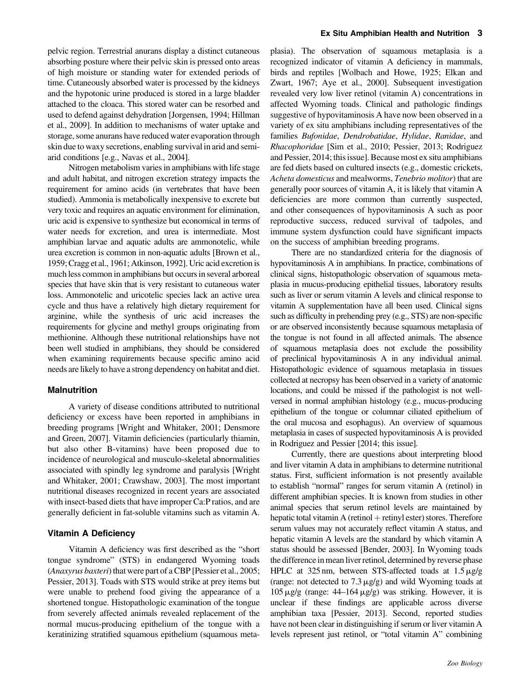pelvic region. Terrestrial anurans display a distinct cutaneous absorbing posture where their pelvic skin is pressed onto areas of high moisture or standing water for extended periods of time. Cutaneously absorbed water is processed by the kidneys and the hypotonic urine produced is stored in a large bladder attached to the cloaca. This stored water can be resorbed and used to defend against dehydration [Jorgensen, 1994; Hillman et al., 2009]. In addition to mechanisms of water uptake and storage, some anurans have reduced water evaporation through skin due to waxy secretions, enabling survival in arid and semi‐ arid conditions [e.g., Navas et al., 2004].

Nitrogen metabolism varies in amphibians with life stage and adult habitat, and nitrogen excretion strategy impacts the requirement for amino acids (in vertebrates that have been studied). Ammonia is metabolically inexpensive to excrete but very toxic and requires an aquatic environment for elimination, uric acid is expensive to synthesize but economical in terms of water needs for excretion, and urea is intermediate. Most amphibian larvae and aquatic adults are ammonotelic, while urea excretion is common in non‐aquatic adults [Brown et al., 1959; Cragg et al., 1961; Atkinson, 1992]. Uric acid excretion is much less common in amphibians but occurs in several arboreal species that have skin that is very resistant to cutaneous water loss. Ammonotelic and uricotelic species lack an active urea cycle and thus have a relatively high dietary requirement for arginine, while the synthesis of uric acid increases the requirements for glycine and methyl groups originating from methionine. Although these nutritional relationships have not been well studied in amphibians, they should be considered when examining requirements because specific amino acid needs are likely to have a strong dependency on habitat and diet.

#### **Malnutrition**

A variety of disease conditions attributed to nutritional deficiency or excess have been reported in amphibians in breeding programs [Wright and Whitaker, 2001; Densmore and Green, 2007]. Vitamin deficiencies (particularly thiamin, but also other B‐vitamins) have been proposed due to incidence of neurological and musculo‐skeletal abnormalities associated with spindly leg syndrome and paralysis [Wright and Whitaker, 2001; Crawshaw, 2003]. The most important nutritional diseases recognized in recent years are associated with insect-based diets that have improper Ca:P ratios, and are generally deficient in fat‐soluble vitamins such as vitamin A.

#### Vitamin A Deficiency

Vitamin A deficiency was first described as the "short tongue syndrome" (STS) in endangered Wyoming toads (Anaxyrus baxteri) that were part of a CBP [Pessier et al., 2005; Pessier, 2013]. Toads with STS would strike at prey items but were unable to prehend food giving the appearance of a shortened tongue. Histopathologic examination of the tongue from severely affected animals revealed replacement of the normal mucus‐producing epithelium of the tongue with a keratinizing stratified squamous epithelium (squamous metaplasia). The observation of squamous metaplasia is a recognized indicator of vitamin A deficiency in mammals, birds and reptiles [Wolbach and Howe, 1925; Elkan and Zwart, 1967; Aye et al., 2000]. Subsequent investigation revealed very low liver retinol (vitamin A) concentrations in affected Wyoming toads. Clinical and pathologic findings suggestive of hypovitaminosis A have now been observed in a variety of ex situ amphibians including representatives of the families Bufonidae, Dendrobatidae, Hylidae, Ranidae, and Rhacophoridae [Sim et al., 2010; Pessier, 2013; Rodriguez and Pessier, 2014; this issue]. Because most ex situ amphibians are fed diets based on cultured insects (e.g., domestic crickets, Acheta domesticus and mealworms, Tenebrio molitor) that are generally poor sources of vitamin A, it is likely that vitamin A deficiencies are more common than currently suspected, and other consequences of hypovitaminosis A such as poor reproductive success, reduced survival of tadpoles, and immune system dysfunction could have significant impacts on the success of amphibian breeding programs.

There are no standardized criteria for the diagnosis of hypovitaminosis A in amphibians. In practice, combinations of clinical signs, histopathologic observation of squamous metaplasia in mucus‐producing epithelial tissues, laboratory results such as liver or serum vitamin A levels and clinical response to vitamin A supplementation have all been used. Clinical signs such as difficulty in prehending prey (e.g., STS) are non‐specific or are observed inconsistently because squamous metaplasia of the tongue is not found in all affected animals. The absence of squamous metaplasia does not exclude the possibility of preclinical hypovitaminosis A in any individual animal. Histopathologic evidence of squamous metaplasia in tissues collected at necropsy has been observed in a variety of anatomic locations, and could be missed if the pathologist is not wellversed in normal amphibian histology (e.g., mucus‐producing epithelium of the tongue or columnar ciliated epithelium of the oral mucosa and esophagus). An overview of squamous metaplasia in cases of suspected hypovitaminosis A is provided in Rodriguez and Pessier [2014; this issue].

Currently, there are questions about interpreting blood and liver vitamin A data in amphibians to determine nutritional status. First, sufficient information is not presently available to establish "normal" ranges for serum vitamin A (retinol) in different amphibian species. It is known from studies in other animal species that serum retinol levels are maintained by hepatic total vitamin A (retinol  $+$  retinyl ester) stores. Therefore serum values may not accurately reflect vitamin A status, and hepatic vitamin A levels are the standard by which vitamin A status should be assessed [Bender, 2003]. In Wyoming toads the difference in mean liver retinol, determined by reverse phase HPLC at  $325 \text{ nm}$ , between STS-affected toads at  $1.5 \mu g/g$ (range: not detected to  $7.3 \mu g/g$ ) and wild Wyoming toads at  $105 \,\mu g/g$  (range:  $44-164 \,\mu g/g$ ) was striking. However, it is unclear if these findings are applicable across diverse amphibian taxa [Pessier, 2013]. Second, reported studies have not been clear in distinguishing if serum or liver vitamin A levels represent just retinol, or "total vitamin A" combining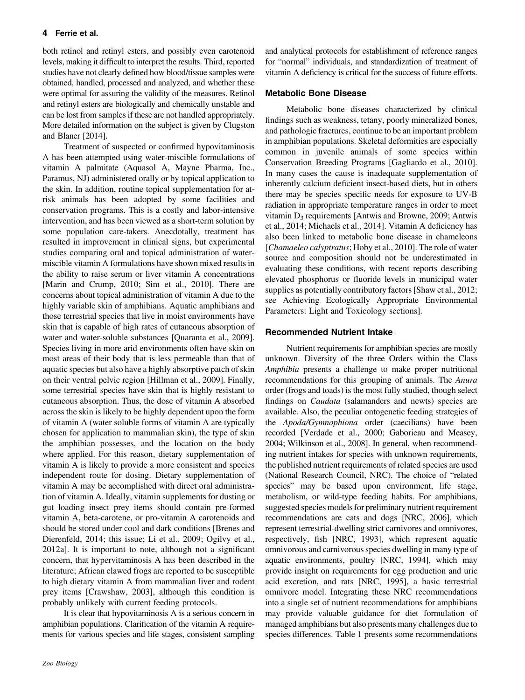both retinol and retinyl esters, and possibly even carotenoid levels, making it difficult to interpret the results. Third, reported studies have not clearly defined how blood/tissue samples were obtained, handled, processed and analyzed, and whether these were optimal for assuring the validity of the measures. Retinol and retinyl esters are biologically and chemically unstable and can be lost from samples if these are not handled appropriately. More detailed information on the subject is given by Clugston and Blaner [2014].

Treatment of suspected or confirmed hypovitaminosis A has been attempted using water‐miscible formulations of vitamin A palmitate (Aquasol A, Mayne Pharma, Inc., Paramus, NJ) administered orally or by topical application to the skin. In addition, routine topical supplementation for atrisk animals has been adopted by some facilities and conservation programs. This is a costly and labor‐intensive intervention, and has been viewed as a short-term solution by some population care-takers. Anecdotally, treatment has resulted in improvement in clinical signs, but experimental studies comparing oral and topical administration of water‐ miscible vitamin A formulations have shown mixed results in the ability to raise serum or liver vitamin A concentrations [Marin and Crump, 2010; Sim et al., 2010]. There are concerns about topical administration of vitamin A due to the highly variable skin of amphibians. Aquatic amphibians and those terrestrial species that live in moist environments have skin that is capable of high rates of cutaneous absorption of water and water-soluble substances [Quaranta et al., 2009]. Species living in more arid environments often have skin on most areas of their body that is less permeable than that of aquatic species but also have a highly absorptive patch of skin on their ventral pelvic region [Hillman et al., 2009]. Finally, some terrestrial species have skin that is highly resistant to cutaneous absorption. Thus, the dose of vitamin A absorbed across the skin is likely to be highly dependent upon the form of vitamin A (water soluble forms of vitamin A are typically chosen for application to mammalian skin), the type of skin the amphibian possesses, and the location on the body where applied. For this reason, dietary supplementation of vitamin A is likely to provide a more consistent and species independent route for dosing. Dietary supplementation of vitamin A may be accomplished with direct oral administration of vitamin A. Ideally, vitamin supplements for dusting or gut loading insect prey items should contain pre‐formed vitamin A, beta‐carotene, or pro‐vitamin A carotenoids and should be stored under cool and dark conditions [Brenes and Dierenfeld, 2014; this issue; Li et al., 2009; Ogilvy et al., 2012a]. It is important to note, although not a significant concern, that hypervitaminosis A has been described in the literature; African clawed frogs are reported to be susceptible to high dietary vitamin A from mammalian liver and rodent prey items [Crawshaw, 2003], although this condition is probably unlikely with current feeding protocols.

It is clear that hypovitaminosis A is a serious concern in amphibian populations. Clarification of the vitamin A requirements for various species and life stages, consistent sampling

and analytical protocols for establishment of reference ranges for "normal" individuals, and standardization of treatment of vitamin A deficiency is critical for the success of future efforts.

#### Metabolic Bone Disease

Metabolic bone diseases characterized by clinical findings such as weakness, tetany, poorly mineralized bones, and pathologic fractures, continue to be an important problem in amphibian populations. Skeletal deformities are especially common in juvenile animals of some species within Conservation Breeding Programs [Gagliardo et al., 2010]. In many cases the cause is inadequate supplementation of inherently calcium deficient insect-based diets, but in others there may be species specific needs for exposure to UV‐B radiation in appropriate temperature ranges in order to meet vitamin  $D_3$  requirements [Antwis and Browne, 2009; Antwis et al., 2014; Michaels et al., 2014]. Vitamin A deficiency has also been linked to metabolic bone disease in chameleons [Chamaeleo calyptratus; Hoby et al., 2010]. The role of water source and composition should not be underestimated in evaluating these conditions, with recent reports describing elevated phosphorus or fluoride levels in municipal water supplies as potentially contributory factors [Shaw et al., 2012; see Achieving Ecologically Appropriate Environmental Parameters: Light and Toxicology sections].

#### Recommended Nutrient Intake

Nutrient requirements for amphibian species are mostly unknown. Diversity of the three Orders within the Class Amphibia presents a challenge to make proper nutritional recommendations for this grouping of animals. The Anura order (frogs and toads) is the most fully studied, though select findings on Caudata (salamanders and newts) species are available. Also, the peculiar ontogenetic feeding strategies of the Apoda/Gymnophiona order (caecilians) have been recorded [Verdade et al., 2000; Gaborieau and Measey, 2004; Wilkinson et al., 2008]. In general, when recommending nutrient intakes for species with unknown requirements, the published nutrient requirements of related species are used (National Research Council, NRC). The choice of "related species" may be based upon environment, life stage, metabolism, or wild‐type feeding habits. For amphibians, suggested species models for preliminary nutrient requirement recommendations are cats and dogs [NRC, 2006], which represent terrestrial‐dwelling strict carnivores and omnivores, respectively, fish [NRC, 1993], which represent aquatic omnivorous and carnivorous species dwelling in many type of aquatic environments, poultry [NRC, 1994], which may provide insight on requirements for egg production and uric acid excretion, and rats [NRC, 1995], a basic terrestrial omnivore model. Integrating these NRC recommendations into a single set of nutrient recommendations for amphibians may provide valuable guidance for diet formulation of managed amphibians but also presents many challenges due to species differences. Table 1 presents some recommendations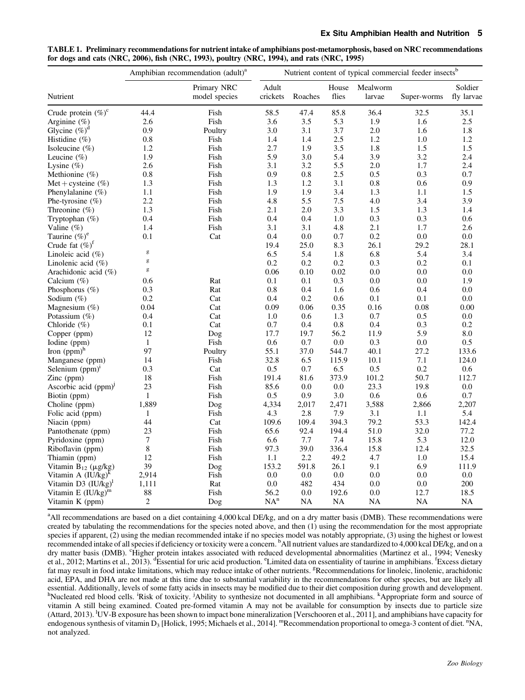TABLE 1. Preliminary recommendations for nutrient intake of amphibians post-metamorphosis, based on NRC recommendations for dogs and cats (NRC, 2006), fish (NRC, 1993), poultry (NRC, 1994), and rats (NRC, 1995)

|                                  | Amphibian recommendation (adult) <sup>a</sup> |                              | Nutrient content of typical commercial feeder insects <sup>b</sup> |               |                |                    |              |                       |
|----------------------------------|-----------------------------------------------|------------------------------|--------------------------------------------------------------------|---------------|----------------|--------------------|--------------|-----------------------|
| Nutrient                         |                                               | Primary NRC<br>model species | Adult<br>crickets                                                  | Roaches       | House<br>flies | Mealworm<br>larvae | Super-worms  | Soldier<br>fly larvae |
| Crude protein (%) <sup>c</sup>   | 44.4                                          | Fish                         | 58.5                                                               | 47.4          | 85.8           | 36.4               | 32.5         | 35.1                  |
| Arginine $(\%)$                  | 2.6                                           | Fish                         | 3.6                                                                | 3.5           | 5.3            | 1.9                | 1.6          | 2.5                   |
| Glycine $(\%)^d$                 | 0.9                                           | Poultry                      | 3.0                                                                | 3.1           | 3.7            | 2.0                | 1.6          | 1.8                   |
| Histidine $(\%)$                 | $0.8\,$                                       | Fish                         | 1.4                                                                | 1.4           | 2.5            | 1.2                | 1.0          | 1.2                   |
| Isoleucine $(\%)$                | 1.2                                           | Fish                         | 2.7                                                                | 1.9           | 3.5            | 1.8                | 1.5          | 1.5                   |
| Leucine $(\%)$                   | 1.9                                           | Fish                         | 5.9                                                                | 3.0           | 5.4            | 3.9                | 3.2          | 2.4                   |
| Lysine $(\%)$                    | 2.6                                           | Fish                         | 3.1                                                                | 3.2           | 5.5            | 2.0                | 1.7          | 2.4                   |
| Methionine $(\%)$                | 0.8                                           | Fish                         | 0.9                                                                | 0.8           | 2.5            | 0.5                | 0.3          | 0.7                   |
| Met + cysteine $(\%)$            | 1.3                                           | Fish                         | 1.3                                                                | 1.2           | 3.1            | 0.8                | 0.6          | 0.9                   |
| Phenylalanine $(\%)$             | 1.1                                           | Fish                         | 1.9                                                                | 1.9           | 3.4            | 1.3                | 1.1          | 1.5                   |
| Phe-tyrosine $(\%)$              | 2.2                                           | Fish                         | 4.8                                                                | 5.5           | 7.5            | 4.0                | 3.4          | 3.9                   |
| Threonine $(\%)$                 | 1.3                                           | Fish                         | 2.1                                                                | 2.0           | 3.3            | 1.5                | 1.3          | 1.4                   |
| Tryptophan $(\%)$                | 0.4                                           | Fish                         | 0.4                                                                | 0.4           | 1.0            | 0.3                | 0.3          | 0.6                   |
| Valine (%)                       | 1.4                                           | Fish                         | 3.1                                                                | 3.1           | 4.8            | 2.1                | 1.7          | 2.6                   |
| Taurine $(\%)^e$                 | 0.1                                           | Cat                          | 0.4                                                                | $0.0\,$       | 0.7            | 0.2                | 0.0          | 0.0                   |
| Crude fat $(\%)^T$               |                                               |                              | 19.4                                                               | 25.0          | 8.3            | 26.1               | 29.2         | 28.1                  |
| Linoleic acid (%)                | g                                             |                              | 6.5                                                                | 5.4           | 1.8            | 6.8                | 5.4          | 3.4                   |
| Linolenic acid $(\%)$            | g                                             |                              | 0.2                                                                | 0.2           | 0.2            | 0.3                | 0.2          | 0.1                   |
| Arachidonic acid $(\%)$          | g                                             |                              | 0.06                                                               | 0.10          | 0.02           | 0.0                | 0.0          | 0.0                   |
| Calcium $(\%)$                   | 0.6                                           | Rat                          | 0.1                                                                | 0.1           | 0.3            | 0.0                | 0.0          | 1.9                   |
| Phosphorus $(\%)$                | 0.3                                           | Rat                          | $0.8\,$                                                            | 0.4           | 1.6            | 0.6                | 0.4          | 0.0                   |
| Sodium (%)                       | 0.2                                           | Cat                          | 0.4                                                                | 0.2           | 0.6            | 0.1                | 0.1          | $0.0\,$               |
| Magnesium $(\%)$                 | 0.04                                          | Cat                          | 0.09                                                               | 0.06          | 0.35           | 0.16               | 0.08         | 0.00                  |
| Potassium $(\%)$                 | 0.4                                           | Cat                          | 1.0                                                                | 0.6           | 1.3            | 0.7                | 0.5          | 0.0                   |
| Chloride $(\%)$                  | 0.1                                           | Cat                          | 0.7                                                                | 0.4           | 0.8            | 0.4                | 0.3          | 0.2                   |
| Copper (ppm)                     | 12                                            | Dog                          | 17.7                                                               | 19.7          | 56.2           | 11.9               | 5.9          | 8.0                   |
| Iodine (ppm)                     | $\mathbf{1}$                                  | Fish                         | 0.6                                                                | 0.7           | $0.0\,$        | 0.3                | $0.0\,$      | 0.5                   |
| Iron $(ppm)^h$                   | 97                                            | Poultry                      | 55.1                                                               | 37.0          | 544.7          | 40.1               | 27.2         | 133.6                 |
| Manganese (ppm)                  | 14                                            | Fish                         | 32.8                                                               | 6.5           | 115.9          | 10.1               | 7.1          | 124.0                 |
| Selenium $(ppm)^1$               | 0.3                                           | Cat                          | 0.5                                                                | 0.7           | 6.5            | 0.5                | 0.2          | 0.6                   |
| $\text{Zinc (ppm)}$              | 18                                            | Fish                         | 191.4                                                              | 81.6          | 373.9          | 101.2              | 50.7         | 112.7                 |
| Ascorbic acid (ppm) <sup>j</sup> | 23                                            | Fish                         | 85.6                                                               | 0.0           | 0.0            | 23.3               | 19.8         | 0.0                   |
|                                  | $\mathbf{1}$                                  | Fish                         | 0.5                                                                | 0.9           | 3.0            | 0.6                | 0.6          | 0.7                   |
| Biotin (ppm)                     | 1,889                                         |                              | 4,334                                                              | 2,017         | 2,471          | 3,588              | 2,866        | 2,207                 |
| Choline (ppm)                    | $\mathbf{1}$                                  | Dog<br>Fish                  | 4.3                                                                | 2.8           | 7.9            | 3.1                | 1.1          | 5.4                   |
| Folic acid (ppm)                 |                                               |                              |                                                                    |               |                | 79.2               |              |                       |
| Niacin (ppm)                     | 44<br>23                                      | Cat                          | 109.6<br>65.6                                                      | 109.4<br>92.4 | 394.3<br>194.4 | 51.0               | 53.3<br>32.0 | 142.4<br>77.2         |
| Pantothenate (ppm)               |                                               | Fish                         |                                                                    |               |                |                    |              |                       |
| Pyridoxine (ppm)                 | $\boldsymbol{7}$                              | Fish                         | 6.6                                                                | 7.7           | 7.4            | 15.8               | 5.3          | 12.0                  |
| Riboflavin (ppm)                 | $\,8\,$                                       | Fish                         | 97.3                                                               | 39.0          | 336.4          | 15.8               | 12.4         | 32.5                  |
| Thiamin (ppm)                    | 12                                            | Fish                         | 1.1                                                                | 2.2           | 49.2           | 4.7                | 1.0          | 15.4                  |
| Vitamin $B_{12}$ ( $\mu$ g/kg)   | 39                                            | Dog                          | 153.2                                                              | 591.8         | 26.1           | 9.1                | 6.9          | 111.9                 |
| Vitamin A (IU/kg)                | 2,914                                         | Fish                         | 0.0                                                                | $0.0\,$       | 0.0            | $0.0\,$            | 0.0          | 0.0                   |
| Vitamin D3 $(IU/kg)^{1}$         | 1,111                                         | Rat                          | 0.0                                                                | 482           | 434            | 0.0                | 0.0          | 200                   |
| Vitamin E $(IU/kg)^m$            | 88                                            | Fish                         | 56.2                                                               | 0.0           | 192.6          | $0.0\,$            | 12.7         | 18.5                  |
| Vitamin K (ppm)                  | $\mathbf{2}$                                  | Dog                          | $NA^n$                                                             | <b>NA</b>     | $\rm NA$       | <b>NA</b>          | <b>NA</b>    | $\rm NA$              |

<sup>a</sup>All recommendations are based on a diet containing 4,000 kcal DE/kg, and on a dry matter basis (DMB). These recommendations were created by tabulating the recommendations for the species noted above, and then (1) using the recommendation for the most appropriate species if apparent, (2) using the median recommended intake if no species model was notably appropriate, (3) using the highest or lowest recommended intake of all species if deficiency or toxicity were a concern. <sup>b</sup>All nutrient values are standardized to 4,000 kcal DE/kg, and on a dry matter basis (DMB). <sup>c</sup>Higher protein intakes associated with reduced developmental abnormalities (Martinez et al., 1994; Venesky et al., 2012; Martins et al., 2013). <sup>d</sup>Essential for uric acid production. <sup>e</sup>Limited data on essentiality of taurine in amphibians. <sup>f</sup>Excess dietary fat may result in food intake limitations, which may reduce intake of other nutrients. <sup>g</sup>Recommendations for linoleic, linolenic, arachidonic acid, EPA, and DHA are not made at this time due to substantial variability in the recommendations for other species, but are likely all essential. Additionally, levels of some fatty acids in insects may be modified due to their diet composition during growth and development. <sup>h</sup> Nucleated red blood cells. <sup>i</sup>Risk of toxicity. <sup>j</sup>Ability to synthesize not documented in all amphibians. <sup>k</sup>Appropriate form and source of vitamin A still being examined. Coated pre‐formed vitamin A may not be available for consumption by insects due to particle size (Attard, 2013). <sup>1</sup>UV-B exposure has been shown to impact bone mineralization [Verschooren et al., 2011], and amphibians have capacity for endogenous synthesis of vitamin D<sub>3</sub> [Holick, 1995; Michaels et al., 2014]. <sup>m</sup>Recommendation proportional to omega-3 content of diet. <sup>n'</sup>NA, not analyzed.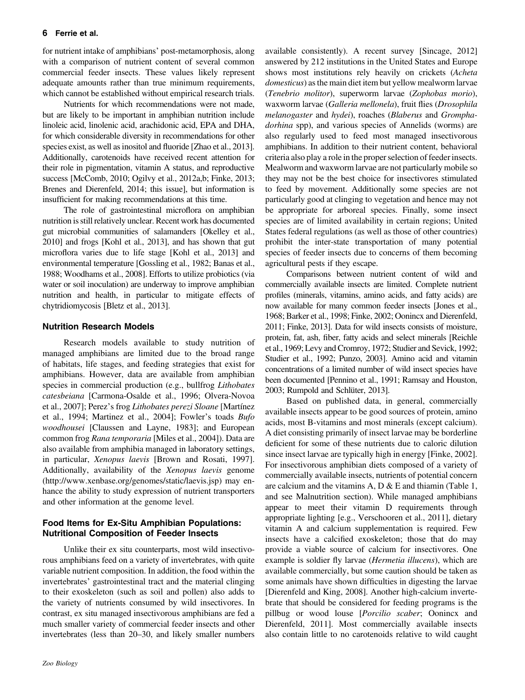for nutrient intake of amphibians' post-metamorphosis, along with a comparison of nutrient content of several common commercial feeder insects. These values likely represent adequate amounts rather than true minimum requirements, which cannot be established without empirical research trials.

Nutrients for which recommendations were not made, but are likely to be important in amphibian nutrition include linoleic acid, linolenic acid, arachidonic acid, EPA and DHA, for which considerable diversity in recommendations for other species exist, as well as inositol and fluoride [Zhao et al., 2013]. Additionally, carotenoids have received recent attention for their role in pigmentation, vitamin A status, and reproductive success [McComb, 2010; Ogilvy et al., 2012a,b; Finke, 2013; Brenes and Dierenfeld, 2014; this issue], but information is insufficient for making recommendations at this time.

The role of gastrointestinal microflora on amphibian nutrition is still relatively unclear. Recent work has documented gut microbial communities of salamanders [Okelley et al., 2010] and frogs [Kohl et al., 2013], and has shown that gut microflora varies due to life stage [Kohl et al., 2013] and environmental temperature [Gossling et al., 1982; Banas et al., 1988; Woodhams et al., 2008]. Efforts to utilize probiotics (via water or soil inoculation) are underway to improve amphibian nutrition and health, in particular to mitigate effects of chytridiomycosis [Bletz et al., 2013].

#### Nutrition Research Models

Research models available to study nutrition of managed amphibians are limited due to the broad range of habitats, life stages, and feeding strategies that exist for amphibians. However, data are available from amphibian species in commercial production (e.g., bullfrog Lithobates catesbeiana [Carmona‐Osalde et al., 1996; Olvera‐Novoa et al., 2007]; Perez's frog Lithobates perezi Sloane [Martínez et al., 1994; Martinez et al., 2004]; Fowler's toads Bufo woodhousei [Claussen and Layne, 1983]; and European common frog Rana temporaria [Miles et al., 2004]). Data are also available from amphibia managed in laboratory settings, in particular, Xenopus laevis [Brown and Rosati, 1997]. Additionally, availability of the Xenopus laevis genome [\(http://www.xenbase.org/genomes/static/laevis.jsp\)](http://www.xenbase.org/genomes/static/laevis.jsp) may enhance the ability to study expression of nutrient transporters and other information at the genome level.

# Food Items for Ex‐Situ Amphibian Populations: Nutritional Composition of Feeder Insects

Unlike their ex situ counterparts, most wild insectivorous amphibians feed on a variety of invertebrates, with quite variable nutrient composition. In addition, the food within the invertebrates' gastrointestinal tract and the material clinging to their exoskeleton (such as soil and pollen) also adds to the variety of nutrients consumed by wild insectivores. In contrast, ex situ managed insectivorous amphibians are fed a much smaller variety of commercial feeder insects and other invertebrates (less than 20–30, and likely smaller numbers available consistently). A recent survey [Sincage, 2012] answered by 212 institutions in the United States and Europe shows most institutions rely heavily on crickets (Acheta domesticus) as the main diet item but yellow mealworm larvae (Tenebrio molitor), superworm larvae (Zophobas morio), waxworm larvae (Galleria mellonela), fruit flies (Drosophila melanogaster and hydei), roaches (Blaberus and Gromphadorhina spp), and various species of Annelids (worms) are also regularly used to feed most managed insectivorous amphibians. In addition to their nutrient content, behavioral criteria also play a role in the proper selection of feeder insects. Mealworm and waxworm larvae are not particularly mobile so they may not be the best choice for insectivores stimulated to feed by movement. Additionally some species are not particularly good at clinging to vegetation and hence may not be appropriate for arboreal species. Finally, some insect species are of limited availability in certain regions; United States federal regulations (as well as those of other countries) prohibit the inter‐state transportation of many potential species of feeder insects due to concerns of them becoming agricultural pests if they escape.

Comparisons between nutrient content of wild and commercially available insects are limited. Complete nutrient profiles (minerals, vitamins, amino acids, and fatty acids) are now available for many common feeder insects [Jones et al., 1968; Barker et al., 1998; Finke, 2002; Oonincx and Dierenfeld, 2011; Finke, 2013]. Data for wild insects consists of moisture, protein, fat, ash, fiber, fatty acids and select minerals [Reichle et al., 1969; Levy and Cromroy, 1972; Studier and Sevick, 1992; Studier et al., 1992; Punzo, 2003]. Amino acid and vitamin concentrations of a limited number of wild insect species have been documented [Pennino et al., 1991; Ramsay and Houston, 2003; Rumpold and Schlüter, 2013].

Based on published data, in general, commercially available insects appear to be good sources of protein, amino acids, most B‐vitamins and most minerals (except calcium). A diet consisting primarily of insect larvae may be borderline deficient for some of these nutrients due to caloric dilution since insect larvae are typically high in energy [Finke, 2002]. For insectivorous amphibian diets composed of a variety of commercially available insects, nutrients of potential concern are calcium and the vitamins A, D & E and thiamin (Table 1, and see Malnutrition section). While managed amphibians appear to meet their vitamin D requirements through appropriate lighting [e.g., Verschooren et al., 2011], dietary vitamin A and calcium supplementation is required. Few insects have a calcified exoskeleton; those that do may provide a viable source of calcium for insectivores. One example is soldier fly larvae (Hermetia illucens), which are available commercially, but some caution should be taken as some animals have shown difficulties in digesting the larvae [Dierenfeld and King, 2008]. Another high‐calcium invertebrate that should be considered for feeding programs is the pillbug or wood louse [Porcilio scaber; Oonincx and Dierenfeld, 2011]. Most commercially available insects also contain little to no carotenoids relative to wild caught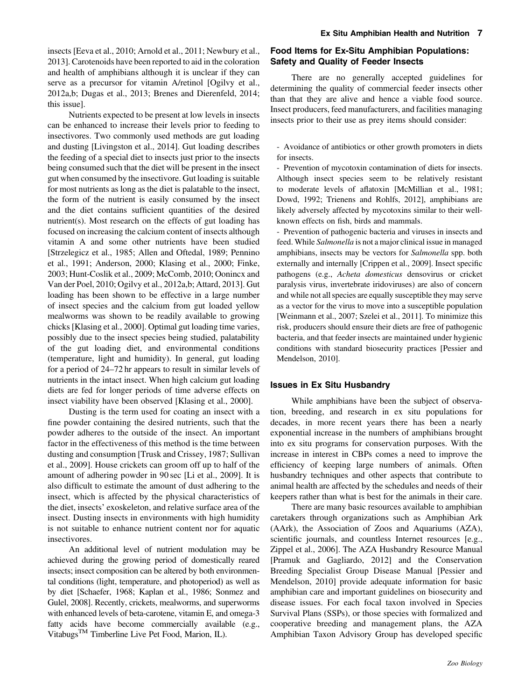insects [Eeva et al., 2010; Arnold et al., 2011; Newbury et al., 2013]. Carotenoids have been reported to aid in the coloration and health of amphibians although it is unclear if they can serve as a precursor for vitamin A/retinol [Ogilvy et al., 2012a,b; Dugas et al., 2013; Brenes and Dierenfeld, 2014; this issue].

Nutrients expected to be present at low levels in insects can be enhanced to increase their levels prior to feeding to insectivores. Two commonly used methods are gut loading and dusting [Livingston et al., 2014]. Gut loading describes the feeding of a special diet to insects just prior to the insects being consumed such that the diet will be present in the insect gut when consumed by the insectivore. Gut loading is suitable for most nutrients as long as the diet is palatable to the insect, the form of the nutrient is easily consumed by the insect and the diet contains sufficient quantities of the desired nutrient(s). Most research on the effects of gut loading has focused on increasing the calcium content of insects although vitamin A and some other nutrients have been studied [Strzelegicz et al., 1985; Allen and Oftedal, 1989; Pennino et al., 1991; Anderson, 2000; Klasing et al., 2000; Finke, 2003; Hunt‐Coslik et al., 2009; McComb, 2010; Oonincx and Van der Poel, 2010; Ogilvy et al., 2012a,b; Attard, 2013]. Gut loading has been shown to be effective in a large number of insect species and the calcium from gut loaded yellow mealworms was shown to be readily available to growing chicks [Klasing et al., 2000]. Optimal gut loading time varies, possibly due to the insect species being studied, palatability of the gut loading diet, and environmental conditions (temperature, light and humidity). In general, gut loading for a period of 24–72 hr appears to result in similar levels of nutrients in the intact insect. When high calcium gut loading diets are fed for longer periods of time adverse effects on insect viability have been observed [Klasing et al., 2000].

Dusting is the term used for coating an insect with a fine powder containing the desired nutrients, such that the powder adheres to the outside of the insect. An important factor in the effectiveness of this method is the time between dusting and consumption [Trusk and Crissey, 1987; Sullivan et al., 2009]. House crickets can groom off up to half of the amount of adhering powder in 90 sec [Li et al., 2009]. It is also difficult to estimate the amount of dust adhering to the insect, which is affected by the physical characteristics of the diet, insects' exoskeleton, and relative surface area of the insect. Dusting insects in environments with high humidity is not suitable to enhance nutrient content nor for aquatic insectivores.

An additional level of nutrient modulation may be achieved during the growing period of domestically reared insects; insect composition can be altered by both environmental conditions (light, temperature, and photoperiod) as well as by diet [Schaefer, 1968; Kaplan et al., 1986; Sonmez and Gulel, 2008]. Recently, crickets, mealworms, and superworms with enhanced levels of beta-carotene, vitamin E, and omega-3 fatty acids have become commercially available (e.g., Vitabugs<sup>TM</sup> Timberline Live Pet Food, Marion, IL).

# Food Items for Ex‐Situ Amphibian Populations: Safety and Quality of Feeder Insects

There are no generally accepted guidelines for determining the quality of commercial feeder insects other than that they are alive and hence a viable food source. Insect producers, feed manufacturers, and facilities managing insects prior to their use as prey items should consider:

‐ Avoidance of antibiotics or other growth promoters in diets for insects.

‐ Prevention of mycotoxin contamination of diets for insects. Although insect species seem to be relatively resistant to moderate levels of aflatoxin [McMillian et al., 1981; Dowd, 1992; Trienens and Rohlfs, 2012], amphibians are likely adversely affected by mycotoxins similar to their well‐ known effects on fish, birds and mammals.

‐ Prevention of pathogenic bacteria and viruses in insects and feed. While Salmonella is not a major clinical issue in managed amphibians, insects may be vectors for Salmonella spp. both externally and internally [Crippen et al., 2009]. Insect specific pathogens (e.g., Acheta domesticus densovirus or cricket paralysis virus, invertebrate iridoviruses) are also of concern and while not all species are equally susceptible they may serve as a vector for the virus to move into a susceptible population [Weinmann et al., 2007; Szelei et al., 2011]. To minimize this risk, producers should ensure their diets are free of pathogenic bacteria, and that feeder insects are maintained under hygienic conditions with standard biosecurity practices [Pessier and Mendelson, 2010].

#### Issues in Ex Situ Husbandry

While amphibians have been the subject of observation, breeding, and research in ex situ populations for decades, in more recent years there has been a nearly exponential increase in the numbers of amphibians brought into ex situ programs for conservation purposes. With the increase in interest in CBPs comes a need to improve the efficiency of keeping large numbers of animals. Often husbandry techniques and other aspects that contribute to animal health are affected by the schedules and needs of their keepers rather than what is best for the animals in their care.

There are many basic resources available to amphibian caretakers through organizations such as Amphibian Ark (AArk), the Association of Zoos and Aquariums (AZA), scientific journals, and countless Internet resources [e.g., Zippel et al., 2006]. The AZA Husbandry Resource Manual [Pramuk and Gagliardo, 2012] and the Conservation Breeding Specialist Group Disease Manual [Pessier and Mendelson, 2010] provide adequate information for basic amphibian care and important guidelines on biosecurity and disease issues. For each focal taxon involved in Species Survival Plans (SSPs), or those species with formalized and cooperative breeding and management plans, the AZA Amphibian Taxon Advisory Group has developed specific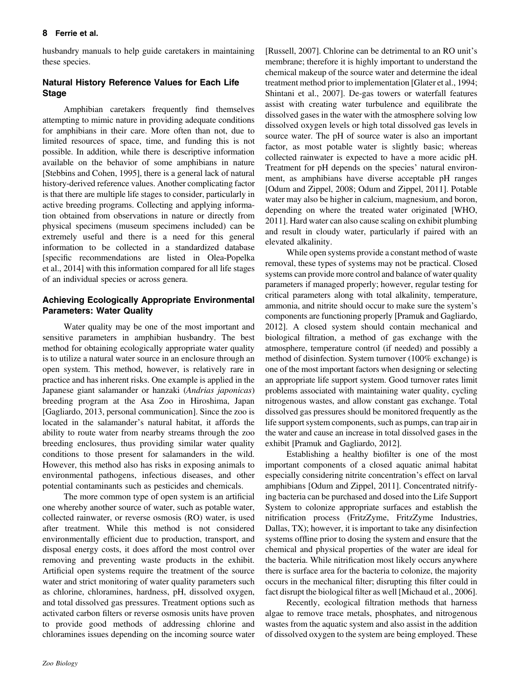husbandry manuals to help guide caretakers in maintaining these species.

# Natural History Reference Values for Each Life **Stage**

Amphibian caretakers frequently find themselves attempting to mimic nature in providing adequate conditions for amphibians in their care. More often than not, due to limited resources of space, time, and funding this is not possible. In addition, while there is descriptive information available on the behavior of some amphibians in nature [Stebbins and Cohen, 1995], there is a general lack of natural history-derived reference values. Another complicating factor is that there are multiple life stages to consider, particularly in active breeding programs. Collecting and applying information obtained from observations in nature or directly from physical specimens (museum specimens included) can be extremely useful and there is a need for this general information to be collected in a standardized database [specific recommendations are listed in Olea‐Popelka et al., 2014] with this information compared for all life stages of an individual species or across genera.

# Achieving Ecologically Appropriate Environmental Parameters: Water Quality

Water quality may be one of the most important and sensitive parameters in amphibian husbandry. The best method for obtaining ecologically appropriate water quality is to utilize a natural water source in an enclosure through an open system. This method, however, is relatively rare in practice and has inherent risks. One example is applied in the Japanese giant salamander or hanzaki (Andrias japonicas) breeding program at the Asa Zoo in Hiroshima, Japan [Gagliardo, 2013, personal communication]. Since the zoo is located in the salamander's natural habitat, it affords the ability to route water from nearby streams through the zoo breeding enclosures, thus providing similar water quality conditions to those present for salamanders in the wild. However, this method also has risks in exposing animals to environmental pathogens, infectious diseases, and other potential contaminants such as pesticides and chemicals.

The more common type of open system is an artificial one whereby another source of water, such as potable water, collected rainwater, or reverse osmosis (RO) water, is used after treatment. While this method is not considered environmentally efficient due to production, transport, and disposal energy costs, it does afford the most control over removing and preventing waste products in the exhibit. Artificial open systems require the treatment of the source water and strict monitoring of water quality parameters such as chlorine, chloramines, hardness, pH, dissolved oxygen, and total dissolved gas pressures. Treatment options such as activated carbon filters or reverse osmosis units have proven to provide good methods of addressing chlorine and chloramines issues depending on the incoming source water

[Russell, 2007]. Chlorine can be detrimental to an RO unit's membrane; therefore it is highly important to understand the chemical makeup of the source water and determine the ideal treatment method prior to implementation [Glater et al., 1994; Shintani et al., 2007]. De‐gas towers or waterfall features assist with creating water turbulence and equilibrate the dissolved gases in the water with the atmosphere solving low dissolved oxygen levels or high total dissolved gas levels in source water. The pH of source water is also an important factor, as most potable water is slightly basic; whereas collected rainwater is expected to have a more acidic pH. Treatment for pH depends on the species' natural environment, as amphibians have diverse acceptable pH ranges [Odum and Zippel, 2008; Odum and Zippel, 2011]. Potable water may also be higher in calcium, magnesium, and boron, depending on where the treated water originated [WHO, 2011]. Hard water can also cause scaling on exhibit plumbing and result in cloudy water, particularly if paired with an elevated alkalinity.

While open systems provide a constant method of waste removal, these types of systems may not be practical. Closed systems can provide more control and balance of water quality parameters if managed properly; however, regular testing for critical parameters along with total alkalinity, temperature, ammonia, and nitrite should occur to make sure the system's components are functioning properly [Pramuk and Gagliardo, 2012]. A closed system should contain mechanical and biological filtration, a method of gas exchange with the atmosphere, temperature control (if needed) and possibly a method of disinfection. System turnover (100% exchange) is one of the most important factors when designing or selecting an appropriate life support system. Good turnover rates limit problems associated with maintaining water quality, cycling nitrogenous wastes, and allow constant gas exchange. Total dissolved gas pressures should be monitored frequently as the life support system components, such as pumps, can trap air in the water and cause an increase in total dissolved gases in the exhibit [Pramuk and Gagliardo, 2012].

Establishing a healthy biofilter is one of the most important components of a closed aquatic animal habitat especially considering nitrite concentration's effect on larval amphibians [Odum and Zippel, 2011]. Concentrated nitrifying bacteria can be purchased and dosed into the Life Support System to colonize appropriate surfaces and establish the nitrification process (FritzZyme, FritzZyme Industries, Dallas, TX); however, it is important to take any disinfection systems offline prior to dosing the system and ensure that the chemical and physical properties of the water are ideal for the bacteria. While nitrification most likely occurs anywhere there is surface area for the bacteria to colonize, the majority occurs in the mechanical filter; disrupting this filter could in fact disrupt the biological filter as well [Michaud et al., 2006].

Recently, ecological filtration methods that harness algae to remove trace metals, phosphates, and nitrogenous wastes from the aquatic system and also assist in the addition of dissolved oxygen to the system are being employed. These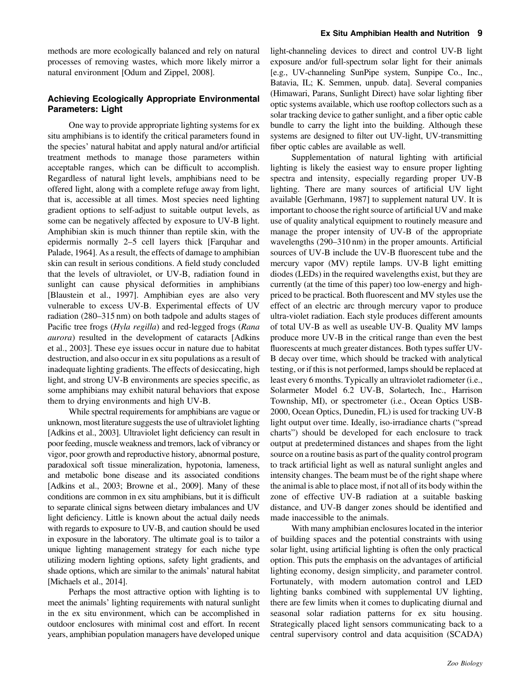methods are more ecologically balanced and rely on natural processes of removing wastes, which more likely mirror a natural environment [Odum and Zippel, 2008].

## Achieving Ecologically Appropriate Environmental Parameters: Light

One way to provide appropriate lighting systems for ex situ amphibians is to identify the critical parameters found in the species' natural habitat and apply natural and/or artificial treatment methods to manage those parameters within acceptable ranges, which can be difficult to accomplish. Regardless of natural light levels, amphibians need to be offered light, along with a complete refuge away from light, that is, accessible at all times. Most species need lighting gradient options to self‐adjust to suitable output levels, as some can be negatively affected by exposure to UV‐B light. Amphibian skin is much thinner than reptile skin, with the epidermis normally 2–5 cell layers thick [Farquhar and Palade, 1964]. As a result, the effects of damage to amphibian skin can result in serious conditions. A field study concluded that the levels of ultraviolet, or UV‐B, radiation found in sunlight can cause physical deformities in amphibians [Blaustein et al., 1997]. Amphibian eyes are also very vulnerable to excess UV‐B. Experimental effects of UV radiation (280–315 nm) on both tadpole and adults stages of Pacific tree frogs (Hyla regilla) and red-legged frogs (Rana aurora) resulted in the development of cataracts [Adkins et al., 2003]. These eye issues occur in nature due to habitat destruction, and also occur in ex situ populations as a result of inadequate lighting gradients. The effects of desiccating, high light, and strong UV-B environments are species specific, as some amphibians may exhibit natural behaviors that expose them to drying environments and high UV‐B.

While spectral requirements for amphibians are vague or unknown, most literature suggests the use of ultraviolet lighting [Adkins et al., 2003]. Ultraviolet light deficiency can result in poor feeding, muscle weakness and tremors, lack of vibrancy or vigor, poor growth and reproductive history, abnormal posture, paradoxical soft tissue mineralization, hypotonia, lameness, and metabolic bone disease and its associated conditions [Adkins et al., 2003; Browne et al., 2009]. Many of these conditions are common in ex situ amphibians, but it is difficult to separate clinical signs between dietary imbalances and UV light deficiency. Little is known about the actual daily needs with regards to exposure to UV‐B, and caution should be used in exposure in the laboratory. The ultimate goal is to tailor a unique lighting management strategy for each niche type utilizing modern lighting options, safety light gradients, and shade options, which are similar to the animals' natural habitat [Michaels et al., 2014].

Perhaps the most attractive option with lighting is to meet the animals' lighting requirements with natural sunlight in the ex situ environment, which can be accomplished in outdoor enclosures with minimal cost and effort. In recent years, amphibian population managers have developed unique

light‐channeling devices to direct and control UV‐B light exposure and/or full‐spectrum solar light for their animals [e.g., UV‐channeling SunPipe system, Sunpipe Co., Inc., Batavia, IL; K. Semmen, unpub. data]. Several companies (Himawari, Parans, Sunlight Direct) have solar lighting fiber optic systems available, which use rooftop collectors such as a solar tracking device to gather sunlight, and a fiber optic cable bundle to carry the light into the building. Although these systems are designed to filter out UV‐light, UV‐transmitting fiber optic cables are available as well.

Supplementation of natural lighting with artificial lighting is likely the easiest way to ensure proper lighting spectra and intensity, especially regarding proper UV-B lighting. There are many sources of artificial UV light available [Gerhmann, 1987] to supplement natural UV. It is important to choose the right source of artificial UV and make use of quality analytical equipment to routinely measure and manage the proper intensity of UV‐B of the appropriate wavelengths (290–310 nm) in the proper amounts. Artificial sources of UV‐B include the UV‐B fluorescent tube and the mercury vapor (MV) reptile lamps. UV‐B light emitting diodes (LEDs) in the required wavelengths exist, but they are currently (at the time of this paper) too low-energy and highpriced to be practical. Both fluorescent and MV styles use the effect of an electric arc through mercury vapor to produce ultra‐violet radiation. Each style produces different amounts of total UV‐B as well as useable UV‐B. Quality MV lamps produce more UV‐B in the critical range than even the best fluorescents at much greater distances. Both types suffer UV‐ B decay over time, which should be tracked with analytical testing, or if this is not performed, lamps should be replaced at least every 6 months. Typically an ultraviolet radiometer (i.e., Solarmeter Model 6.2 UV‐B, Solartech, Inc., Harrison Township, MI), or spectrometer (i.e., Ocean Optics USB‐ 2000, Ocean Optics, Dunedin, FL) is used for tracking UV‐B light output over time. Ideally, iso‐irradiance charts ("spread charts") should be developed for each enclosure to track output at predetermined distances and shapes from the light source on a routine basis as part of the quality control program to track artificial light as well as natural sunlight angles and intensity changes. The beam must be of the right shape where the animal is able to place most, if not all of its body within the zone of effective UV‐B radiation at a suitable basking distance, and UV‐B danger zones should be identified and made inaccessible to the animals.

With many amphibian enclosures located in the interior of building spaces and the potential constraints with using solar light, using artificial lighting is often the only practical option. This puts the emphasis on the advantages of artificial lighting economy, design simplicity, and parameter control. Fortunately, with modern automation control and LED lighting banks combined with supplemental UV lighting, there are few limits when it comes to duplicating diurnal and seasonal solar radiation patterns for ex situ housing. Strategically placed light sensors communicating back to a central supervisory control and data acquisition (SCADA)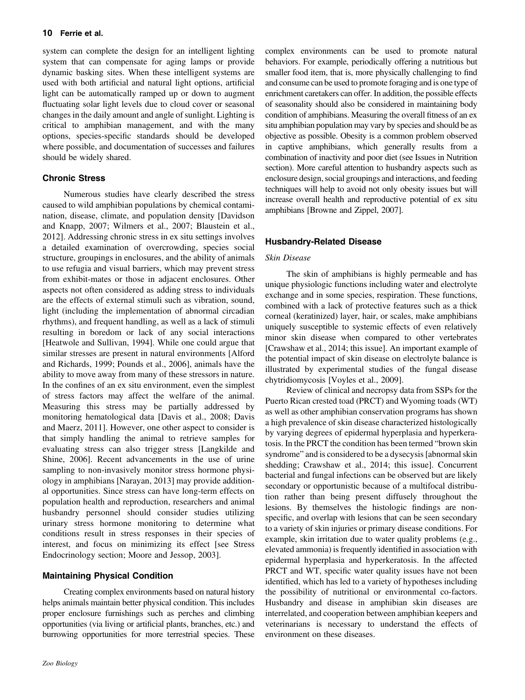system can complete the design for an intelligent lighting system that can compensate for aging lamps or provide dynamic basking sites. When these intelligent systems are used with both artificial and natural light options, artificial light can be automatically ramped up or down to augment fluctuating solar light levels due to cloud cover or seasonal changes in the daily amount and angle of sunlight. Lighting is critical to amphibian management, and with the many options, species‐specific standards should be developed where possible, and documentation of successes and failures should be widely shared.

#### Chronic Stress

Numerous studies have clearly described the stress caused to wild amphibian populations by chemical contamination, disease, climate, and population density [Davidson and Knapp, 2007; Wilmers et al., 2007; Blaustein et al., 2012]. Addressing chronic stress in ex situ settings involves a detailed examination of overcrowding, species social structure, groupings in enclosures, and the ability of animals to use refugia and visual barriers, which may prevent stress from exhibit-mates or those in adjacent enclosures. Other aspects not often considered as adding stress to individuals are the effects of external stimuli such as vibration, sound, light (including the implementation of abnormal circadian rhythms), and frequent handling, as well as a lack of stimuli resulting in boredom or lack of any social interactions [Heatwole and Sullivan, 1994]. While one could argue that similar stresses are present in natural environments [Alford and Richards, 1999; Pounds et al., 2006], animals have the ability to move away from many of these stressors in nature. In the confines of an ex situ environment, even the simplest of stress factors may affect the welfare of the animal. Measuring this stress may be partially addressed by monitoring hematological data [Davis et al., 2008; Davis and Maerz, 2011]. However, one other aspect to consider is that simply handling the animal to retrieve samples for evaluating stress can also trigger stress [Langkilde and Shine, 2006]. Recent advancements in the use of urine sampling to non-invasively monitor stress hormone physiology in amphibians [Narayan, 2013] may provide additional opportunities. Since stress can have long‐term effects on population health and reproduction, researchers and animal husbandry personnel should consider studies utilizing urinary stress hormone monitoring to determine what conditions result in stress responses in their species of interest, and focus on minimizing its effect [see Stress Endocrinology section; Moore and Jessop, 2003].

## Maintaining Physical Condition

Creating complex environments based on natural history helps animals maintain better physical condition. This includes proper enclosure furnishings such as perches and climbing opportunities (via living or artificial plants, branches, etc.) and burrowing opportunities for more terrestrial species. These complex environments can be used to promote natural behaviors. For example, periodically offering a nutritious but smaller food item, that is, more physically challenging to find and consume can be used to promote foraging and is one type of enrichment caretakers can offer. In addition, the possible effects of seasonality should also be considered in maintaining body condition of amphibians. Measuring the overall fitness of an ex situ amphibian population may vary by species and should be as objective as possible. Obesity is a common problem observed in captive amphibians, which generally results from a combination of inactivity and poor diet (see Issues in Nutrition section). More careful attention to husbandry aspects such as enclosure design, social groupings and interactions, and feeding techniques will help to avoid not only obesity issues but will increase overall health and reproductive potential of ex situ amphibians [Browne and Zippel, 2007].

#### Husbandry‐Related Disease

#### Skin Disease

The skin of amphibians is highly permeable and has unique physiologic functions including water and electrolyte exchange and in some species, respiration. These functions, combined with a lack of protective features such as a thick corneal (keratinized) layer, hair, or scales, make amphibians uniquely susceptible to systemic effects of even relatively minor skin disease when compared to other vertebrates [Crawshaw et al., 2014; this issue]. An important example of the potential impact of skin disease on electrolyte balance is illustrated by experimental studies of the fungal disease chytridiomycosis [Voyles et al., 2009].

Review of clinical and necropsy data from SSPs for the Puerto Rican crested toad (PRCT) and Wyoming toads (WT) as well as other amphibian conservation programs has shown a high prevalence of skin disease characterized histologically by varying degrees of epidermal hyperplasia and hyperkeratosis. In the PRCT the condition has been termed "brown skin syndrome" and is considered to be a dysecysis [abnormal skin shedding; Crawshaw et al., 2014; this issue]. Concurrent bacterial and fungal infections can be observed but are likely secondary or opportunistic because of a multifocal distribution rather than being present diffusely throughout the lesions. By themselves the histologic findings are non‐ specific, and overlap with lesions that can be seen secondary to a variety of skin injuries or primary disease conditions. For example, skin irritation due to water quality problems (e.g., elevated ammonia) is frequently identified in association with epidermal hyperplasia and hyperkeratosis. In the affected PRCT and WT, specific water quality issues have not been identified, which has led to a variety of hypotheses including the possibility of nutritional or environmental co-factors. Husbandry and disease in amphibian skin diseases are interrelated, and cooperation between amphibian keepers and veterinarians is necessary to understand the effects of environment on these diseases.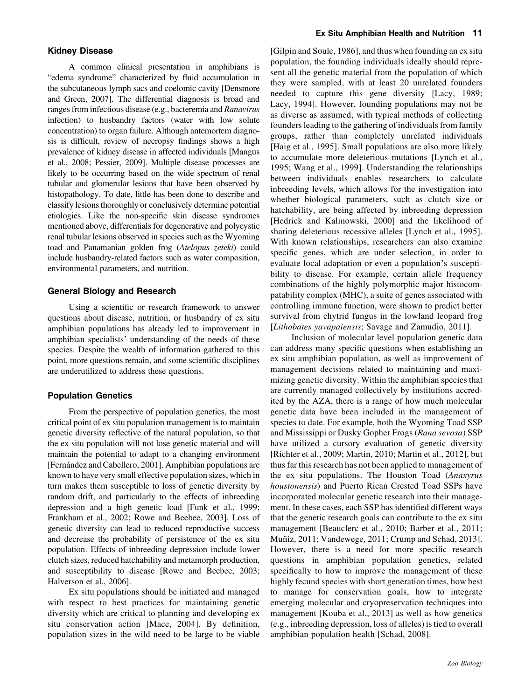#### Kidney Disease

A common clinical presentation in amphibians is "edema syndrome" characterized by fluid accumulation in the subcutaneous lymph sacs and coelomic cavity [Densmore and Green, 2007]. The differential diagnosis is broad and ranges from infectious disease (e.g., bacteremia and Ranavirus infection) to husbandry factors (water with low solute concentration) to organ failure. Although antemortem diagnosis is difficult, review of necropsy findings shows a high prevalence of kidney disease in affected individuals [Mangus et al., 2008; Pessier, 2009]. Multiple disease processes are likely to be occurring based on the wide spectrum of renal tubular and glomerular lesions that have been observed by histopathology. To date, little has been done to describe and classify lesions thoroughly or conclusively determine potential etiologies. Like the non‐specific skin disease syndromes mentioned above, differentials for degenerative and polycystic renal tubular lesions observed in species such as the Wyoming toad and Panamanian golden frog (Atelopus zeteki) could include husbandry‐related factors such as water composition, environmental parameters, and nutrition.

# General Biology and Research

Using a scientific or research framework to answer questions about disease, nutrition, or husbandry of ex situ amphibian populations has already led to improvement in amphibian specialists' understanding of the needs of these species. Despite the wealth of information gathered to this point, more questions remain, and some scientific disciplines are underutilized to address these questions.

#### Population Genetics

From the perspective of population genetics, the most critical point of ex situ population management is to maintain genetic diversity reflective of the natural population, so that the ex situ population will not lose genetic material and will maintain the potential to adapt to a changing environment [Fernández and Cabellero, 2001]. Amphibian populations are known to have very small effective population sizes, which in turn makes them susceptible to loss of genetic diversity by random drift, and particularly to the effects of inbreeding depression and a high genetic load [Funk et al., 1999; Frankham et al., 2002; Rowe and Beebee, 2003]. Loss of genetic diversity can lead to reduced reproductive success and decrease the probability of persistence of the ex situ population. Effects of inbreeding depression include lower clutch sizes, reduced hatchability and metamorph production, and susceptibility to disease [Rowe and Beebee, 2003; Halverson et al., 2006].

Ex situ populations should be initiated and managed with respect to best practices for maintaining genetic diversity which are critical to planning and developing ex situ conservation action [Mace, 2004]. By definition, population sizes in the wild need to be large to be viable

[Gilpin and Soule, 1986], and thus when founding an ex situ population, the founding individuals ideally should represent all the genetic material from the population of which they were sampled, with at least 20 unrelated founders needed to capture this gene diversity [Lacy, 1989; Lacy, 1994]. However, founding populations may not be as diverse as assumed, with typical methods of collecting founders leading to the gathering of individuals from family groups, rather than completely unrelated individuals [Haig et al., 1995]. Small populations are also more likely to accumulate more deleterious mutations [Lynch et al., 1995; Wang et al., 1999]. Understanding the relationships between individuals enables researchers to calculate inbreeding levels, which allows for the investigation into whether biological parameters, such as clutch size or hatchability, are being affected by inbreeding depression [Hedrick and Kalinowski, 2000] and the likelihood of sharing deleterious recessive alleles [Lynch et al., 1995]. With known relationships, researchers can also examine specific genes, which are under selection, in order to evaluate local adaptation or even a population's susceptibility to disease. For example, certain allele frequency combinations of the highly polymorphic major histocompatability complex (MHC), a suite of genes associated with controlling immune function, were shown to predict better survival from chytrid fungus in the lowland leopard frog [Lithobates yavapaiensis; Savage and Zamudio, 2011].

Inclusion of molecular level population genetic data can address many specific questions when establishing an ex situ amphibian population, as well as improvement of management decisions related to maintaining and maximizing genetic diversity. Within the amphibian species that are currently managed collectively by institutions accredited by the AZA, there is a range of how much molecular genetic data have been included in the management of species to date. For example, both the Wyoming Toad SSP and Mississippi or Dusky Gopher Frogs (Rana sevosa) SSP have utilized a cursory evaluation of genetic diversity [Richter et al., 2009; Martin, 2010; Martin et al., 2012], but thus far this research has not been applied to management of the ex situ populations. The Houston Toad (Anaxyrus houstonensis) and Puerto Rican Crested Toad SSPs have incorporated molecular genetic research into their management. In these cases, each SSP has identified different ways that the genetic research goals can contribute to the ex situ management [Beauclerc et al., 2010; Barber et al., 2011; Muñiz, 2011; Vandewege, 2011; Crump and Schad, 2013]. However, there is a need for more specific research questions in amphibian population genetics, related specifically to how to improve the management of these highly fecund species with short generation times, how best to manage for conservation goals, how to integrate emerging molecular and cryopreservation techniques into management [Kouba et al., 2013] as well as how genetics (e.g., inbreeding depression, loss of alleles) is tied to overall amphibian population health [Schad, 2008].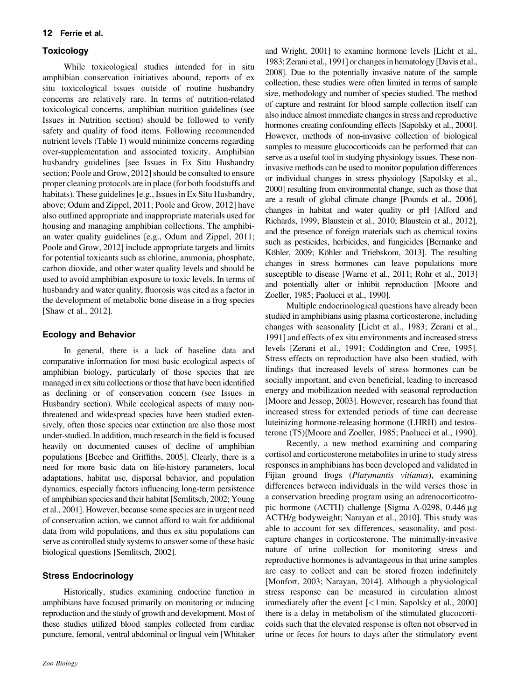#### **Toxicology**

While toxicological studies intended for in situ amphibian conservation initiatives abound, reports of ex situ toxicological issues outside of routine husbandry concerns are relatively rare. In terms of nutrition-related toxicological concerns, amphibian nutrition guidelines (see Issues in Nutrition section) should be followed to verify safety and quality of food items. Following recommended nutrient levels (Table 1) would minimize concerns regarding over‐supplementation and associated toxicity. Amphibian husbandry guidelines [see Issues in Ex Situ Husbandry section; Poole and Grow, 2012] should be consulted to ensure proper cleaning protocols are in place (for both foodstuffs and habitats). These guidelines [e.g., Issues in Ex Situ Husbandry, above; Odum and Zippel, 2011; Poole and Grow, 2012] have also outlined appropriate and inappropriate materials used for housing and managing amphibian collections. The amphibian water quality guidelines [e.g., Odum and Zippel, 2011; Poole and Grow, 2012] include appropriate targets and limits for potential toxicants such as chlorine, ammonia, phosphate, carbon dioxide, and other water quality levels and should be used to avoid amphibian exposure to toxic levels. In terms of husbandry and water quality, fluorosis was cited as a factor in the development of metabolic bone disease in a frog species [Shaw et al., 2012].

#### Ecology and Behavior

In general, there is a lack of baseline data and comparative information for most basic ecological aspects of amphibian biology, particularly of those species that are managed in ex situ collections or those that have been identified as declining or of conservation concern (see Issues in Husbandry section). While ecological aspects of many nonthreatened and widespread species have been studied extensively, often those species near extinction are also those most under‐studied. In addition, much research in the field is focused heavily on documented causes of decline of amphibian populations [Beebee and Griffiths, 2005]. Clearly, there is a need for more basic data on life‐history parameters, local adaptations, habitat use, dispersal behavior, and population dynamics, especially factors influencing long‐term persistence of amphibian species and their habitat [Semlitsch, 2002; Young et al., 2001]. However, because some species are in urgent need of conservation action, we cannot afford to wait for additional data from wild populations, and thus ex situ populations can serve as controlled study systems to answer some of these basic biological questions [Semlitsch, 2002].

#### Stress Endocrinology

Historically, studies examining endocrine function in amphibians have focused primarily on monitoring or inducing reproduction and the study of growth and development. Most of these studies utilized blood samples collected from cardiac puncture, femoral, ventral abdominal or lingual vein [Whitaker

and Wright, 2001] to examine hormone levels [Licht et al., 1983; Zerani et al., 1991] or changes in hematology [Davis et al., 2008]. Due to the potentially invasive nature of the sample collection, these studies were often limited in terms of sample size, methodology and number of species studied. The method of capture and restraint for blood sample collection itself can also induce almost immediate changes in stress and reproductive hormones creating confounding effects [Sapolsky et al., 2000]. However, methods of non‐invasive collection of biological samples to measure glucocorticoids can be performed that can serve as a useful tool in studying physiology issues. These noninvasive methods can be used to monitor population differences or individual changes in stress physiology [Sapolsky et al., 2000] resulting from environmental change, such as those that are a result of global climate change [Pounds et al., 2006], changes in habitat and water quality or pH [Alford and Richards, 1999; Blaustein et al., 2010; Blaustein et al., 2012], and the presence of foreign materials such as chemical toxins such as pesticides, herbicides, and fungicides [Bernanke and Köhler, 2009; Köhler and Triebskom, 2013]. The resulting changes in stress hormones can leave populations more susceptible to disease [Warne et al., 2011; Rohr et al., 2013] and potentially alter or inhibit reproduction [Moore and Zoeller, 1985; Paolucci et al., 1990].

Multiple endocrinological questions have already been studied in amphibians using plasma corticosterone, including changes with seasonality [Licht et al., 1983; Zerani et al., 1991] and effects of ex situ environments and increased stress levels [Zerani et al., 1991; Coddington and Cree, 1995]. Stress effects on reproduction have also been studied, with findings that increased levels of stress hormones can be socially important, and even beneficial, leading to increased energy and mobilization needed with seasonal reproduction [Moore and Jessop, 2003]. However, research has found that increased stress for extended periods of time can decrease luteinizing hormone‐releasing hormone (LHRH) and testosterone (T5)[Moore and Zoeller, 1985; Paolucci et al., 1990].

Recently, a new method examining and comparing cortisol and corticosterone metabolites in urine to study stress responses in amphibians has been developed and validated in Fijian ground frogs (Platymantis vitianus), examining differences between individuals in the wild verses those in a conservation breeding program using an adrenocorticotropic hormone (ACTH) challenge [Sigma A-0298,  $0.446 \mu$ g ACTH/g bodyweight; Narayan et al., 2010]. This study was able to account for sex differences, seasonality, and postcapture changes in corticosterone. The minimally‐invasive nature of urine collection for monitoring stress and reproductive hormones is advantageous in that urine samples are easy to collect and can be stored frozen indefinitely [Monfort, 2003; Narayan, 2014]. Although a physiological stress response can be measured in circulation almost immediately after the event [<1 min, Sapolsky et al., 2000] there is a delay in metabolism of the stimulated glucocorticoids such that the elevated response is often not observed in urine or feces for hours to days after the stimulatory event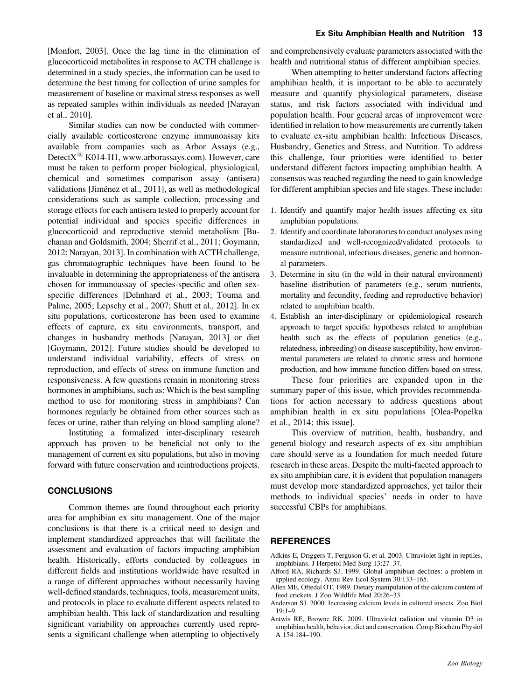[Monfort, 2003]. Once the lag time in the elimination of glucocorticoid metabolites in response to ACTH challenge is determined in a study species, the information can be used to determine the best timing for collection of urine samples for measurement of baseline or maximal stress responses as well as repeated samples within individuals as needed [Narayan et al., 2010].

Similar studies can now be conducted with commercially available corticosterone enzyme immunoassay kits available from companies such as Arbor Assays (e.g., Detect $X^{\text{\textcircled{R}}}$  K014-H1, [www.arborassays.com\)](http://www.arborassays.com/). However, care must be taken to perform proper biological, physiological, chemical and sometimes comparison assay (antisera) validations [Jiménez et al., 2011], as well as methodological considerations such as sample collection, processing and storage effects for each antisera tested to properly account for potential individual and species specific differences in glucocorticoid and reproductive steroid metabolism [Buchanan and Goldsmith, 2004; Sherrif et al., 2011; Goymann, 2012; Narayan, 2013]. In combination with ACTH challenge, gas chromatographic techniques have been found to be invaluable in determining the appropriateness of the antisera chosen for immunoassay of species‐specific and often sex‐ specific differences [Dehnhard et al., 2003; Touma and Palme, 2005; Lepschy et al., 2007; Shutt et al., 2012]. In ex situ populations, corticosterone has been used to examine effects of capture, ex situ environments, transport, and changes in husbandry methods [Narayan, 2013] or diet [Goymann, 2012]. Future studies should be developed to understand individual variability, effects of stress on reproduction, and effects of stress on immune function and responsiveness. A few questions remain in monitoring stress hormones in amphibians, such as: Which is the best sampling method to use for monitoring stress in amphibians? Can hormones regularly be obtained from other sources such as feces or urine, rather than relying on blood sampling alone?

Instituting a formalized inter‐disciplinary research approach has proven to be beneficial not only to the management of current ex situ populations, but also in moving forward with future conservation and reintroductions projects.

#### **CONCLUSIONS**

Common themes are found throughout each priority area for amphibian ex situ management. One of the major conclusions is that there is a critical need to design and implement standardized approaches that will facilitate the assessment and evaluation of factors impacting amphibian health. Historically, efforts conducted by colleagues in different fields and institutions worldwide have resulted in a range of different approaches without necessarily having well-defined standards, techniques, tools, measurement units, and protocols in place to evaluate different aspects related to amphibian health. This lack of standardization and resulting significant variability on approaches currently used represents a significant challenge when attempting to objectively

and comprehensively evaluate parameters associated with the health and nutritional status of different amphibian species.

When attempting to better understand factors affecting amphibian health, it is important to be able to accurately measure and quantify physiological parameters, disease status, and risk factors associated with individual and population health. Four general areas of improvement were identified in relation to how measurements are currently taken to evaluate ex‐situ amphibian health: Infectious Diseases, Husbandry, Genetics and Stress, and Nutrition. To address this challenge, four priorities were identified to better understand different factors impacting amphibian health. A consensus was reached regarding the need to gain knowledge for different amphibian species and life stages. These include:

- 1. Identify and quantify major health issues affecting ex situ amphibian populations.
- 2. Identify and coordinate laboratories to conduct analyses using standardized and well‐recognized/validated protocols to measure nutritional, infectious diseases, genetic and hormonal parameters.
- 3. Determine in situ (in the wild in their natural environment) baseline distribution of parameters (e.g., serum nutrients, mortality and fecundity, feeding and reproductive behavior) related to amphibian health.
- 4. Establish an inter‐disciplinary or epidemiological research approach to target specific hypotheses related to amphibian health such as the effects of population genetics (e.g., relatedness, inbreeding) on disease susceptibility, how environmental parameters are related to chronic stress and hormone production, and how immune function differs based on stress.

These four priorities are expanded upon in the summary paper of this issue, which provides recommendations for action necessary to address questions about amphibian health in ex situ populations [Olea‐Popelka et al., 2014; this issue].

This overview of nutrition, health, husbandry, and general biology and research aspects of ex situ amphibian care should serve as a foundation for much needed future research in these areas. Despite the multi‐faceted approach to ex situ amphibian care, it is evident that population managers must develop more standardized approaches, yet tailor their methods to individual species' needs in order to have successful CBPs for amphibians.

#### **REFERENCES**

- Adkins E, Driggers T, Ferguson G, et al. 2003. Ultraviolet light in reptiles, amphibians. J Herpetol Med Surg 13:27–37.
- Alford RA, Richards SJ. 1999. Global amphibian declines: a problem in applied ecology. Annu Rev Ecol System 30:133–165.
- Allen ME, Oftedal OT. 1989. Dietary manipulation of the calcium content of feed crickets. J Zoo Wildlife Med 20:26–33.
- Anderson SJ. 2000. Increasing calcium levels in cultured insects. Zoo Biol 19:1–9.
- Antwis RE, Browne RK. 2009. Ultraviolet radiation and vitamin D3 in amphibian health, behavior, diet and conservation. Comp Biochem Physiol A 154:184–190.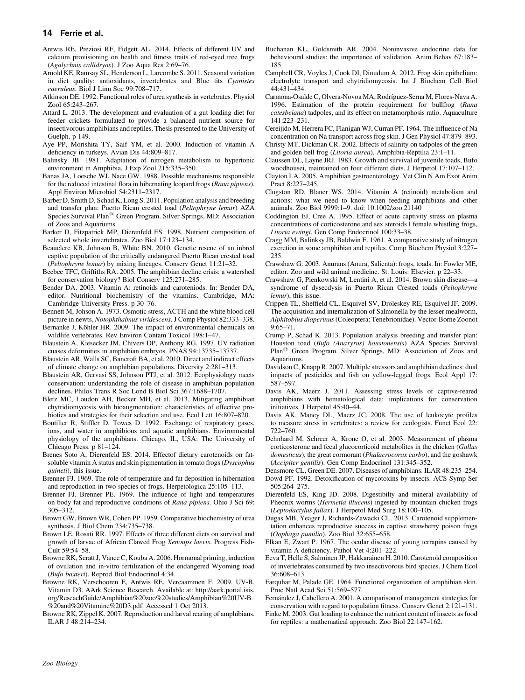- Antwis RE, Preziosi RF, Fidgett AL. 2014. Effects of different UV and calcium provisioning on health and fitness traits of red‐eyed tree frogs (Agalychnis callidryas). J Zoo Aqua Res 2:69–76.
- Arnold KE, Ramsay SL, Henderson L, Larcombe S. 2011. Seasonal variation in diet quality: antioxidants, invertebrates and Blue tits Cyanistes caeruleus. Biol J Linn Soc 99:708–717.
- Atkinson DE. 1992. Functional roles of urea synthesis in vertebrates. Physiol Zool 65:243–267.
- Attard L. 2013. The development and evaluation of a gut loading diet for feeder crickets formulated to provide a balanced nutrient source for insectivorous amphibians and reptiles. Thesis presented to the University of Guelph. p 149.
- Aye PP, Morishita TY, Saif YM, et al. 2000. Induction of vitamin A deficiency in turkeys. Avian Dis 44:809–817.
- Balinsky JB. 1981. Adaptation of nitrogen metabolism to hypertonic environment in Amphibia. J Exp Zool 215:335–350.
- Banas JA, Loesche WJ, Nace GW. 1988. Possible mechanisms responsible for the reduced intestinal flora in hibernating leopard frogs (Rana pipiens). Appl Environ Microbiol 54:2311–2317.
- Barber D, Smith D, Schad K, Long S. 2011. Population analysis and breeding and transfer plan: Puerto Rican crested toad (Peltophryne lemur) AZA Species Survival Plan<sup>83</sup> Green Program. Silver Springs, MD: Association of Zoos and Aquariums.
- Barker D, Fitzpatrick MP, Dierenfeld ES. 1998. Nutrient composition of selected whole invertebrates. Zoo Biol 17:123–134.
- Beauclerc KB, Johnson B, White BN. 2010. Genetic rescue of an inbred captive population of the critically endangered Puerto Rican crested toad (Peltophryne lemur) by mixing lineages. Conserv Genet 11:21–32.
- Beebee TFC, Griffiths RA. 2005. The amphibian decline crisis: a watershed for conservation biology? Biol Conserv 125:271–285.
- Bender DA. 2003. Vitamin A: retinoids and caroteniods. In: Bender DA, editor. Nutritional biochemistry of the vitamins. Cambridge, MA: Cambridge University Press. p 30–76.
- Bennett M, Johson A. 1973. Osmotic stress, ACTH and the white blood cell picture in newts, Notophthalmus viridescens. J Comp Physiol 82:333–338.
- Bernanke J, Köhler HR. 2009. The impact of environmental chemicals on wildlife vertebrates. Rev Environ Contam Toxicol 198:1–47.
- Blaustein A, Kiesecker JM, Chivers DP, Anthony RG. 1997. UV radiation cuases deformities in amphibian embryos. PNAS 94:13735–13737.
- Blaustein AR, Walls SC, Bancroft BA, et al. 2010. Direct and indirect effects of climate change on amphibian populations. Diversity 2:281–313.
- Blaustein AR, Gervasi SS, Johnson PTJ, et al. 2012. Ecophysiology meets conservation: understanding the role of disease in amphibian population declines. Philos Trans R Soc Lond B Biol Sci 367:1688–1707.
- Bletz MC, Loudon AH, Becker MH, et al. 2013. Mitigating amphibian chytridiomycosis with bioaugmentation: characteristics of effective probiotics and strategies for their selection and use. Ecol Lett 16:807–820.
- Boutilier R, Stiffler D, Towes D. 1992. Exchange of respiratory gases, ions, and water in amphibious and aquatic amphibians. Environmental physiology of the amphibians. Chicago, IL, USA: The University of Chicago Press. p 81–124.
- Brenes Soto A, Dierenfeld ES. 2014. Effectof dietary carotenoids on fatsoluble vitamin A status and skin pigmentation in tomato frogs (Dyscophus quineti), this issue.
- Brenner FJ. 1969. The role of temperature and fat deposition in hibernation and reproduction in two species of frogs. Herpetologica 25:105–113.
- Brenner FJ, Brenner PE. 1969. The influence of light and temperatures on body fat and reproductive conditions of Rana pipiens. Ohio J Sci 69: 305–312.
- Brown GW, Brown WR, Cohen PP. 1959. Comparative biochemistry of urea synthesis. J Biol Chem 234:735–738.
- Brown LE, Rosati RR. 1997. Effects of three different diets on survival and growth of larvae of African Clawed Frog Xenoups laevis. Progress Fish-Cult 59:54–58.
- Browne RK, Seratt J, Vance C, Kouba A. 2006. Hormonal priming, induction of ovulation and in‐vitro fertilization of the endangered Wyoming toad (Bufo baxteri). Reprod Biol Endocrinol 4:34.
- Browne RK, Verschooren E, Antwis RE, Vercaammen F. 2009. UV‐B, Vitamin D3. AArk Science Research. Available at: [http://aark.portal.isis.](http://aark.portal.isis.org/ReseachGuide/Amphibian%20zoo%20studies/Amphibian%20UV-B%20and%20Vitamine%20D3.pdf) [org/ReseachGuide/Amphibian%20zoo%20studies/Amphibian%20UV](http://aark.portal.isis.org/ReseachGuide/Amphibian%20zoo%20studies/Amphibian%20UV-B%20and%20Vitamine%20D3.pdf)‐B [%20and%20Vitamine%20D3.pdf.](http://aark.portal.isis.org/ReseachGuide/Amphibian%20zoo%20studies/Amphibian%20UV-B%20and%20Vitamine%20D3.pdf) Accessed 1 Oct 2013.
- Browne RK, Zippel K. 2007. Reproduction and larval rearing of amphibians. ILAR J 48:214–234.
- Buchanan KL, Goldsmith AR. 2004. Noninvasive endocrine data for behavioural studies: the importance of validation. Anim Behav 67:183– 185.
- Campbell CR, Voyles J, Cook DI, Dinudum A. 2012. Frog skin epithelium: electrolyte transport and chytridiomycosis. Int J Biochem Cell Biol 44:431–434.
- Carmona‐Osalde C, Olvera‐Novoa MA, Rodríguez‐Serna M, Flores‐Nava A. 1996. Estimation of the protein requirement for bullfrog (Rana catesbeiana) tadpoles, and its effect on metamorphosis ratio. Aquaculture 141:223–231.
- Cereijido M, Herrera FC, Flanigan WJ, Curran PF. 1964. The influence of Na concentration on Na transport across frog skin. J Gen Physiol 47:879–893.
- Christy MT, Dickman CR. 2002. Effects of salinity on tadpoles of the green and golden bell frog (Litoria aurea). Amphibia‐Reptilia 23:1–11.
- Claussen DL, Layne JRJ. 1983. Growth and survival of juvenile toads, Bufo woodhousei, maintained on four different diets. J Herpetol 17:107–112.
- Clayton LA. 2005. Amphibian gastroenterology. Vet Clin N Am Exot Anim Pract 8:227–245.
- Clugston RD, Blaner WS. 2014. Vitamin A (retinoid) metabolism and actions: what we need to know when feeding amphibians and other animals. Zoo Biol 9999:1–9. doi: 10.1002/zoo.21140
- Coddington EJ, Cree A. 1995. Effect of acute captivity stress on plasma concentrations of corticosterone and sex steroids I female whistling frogs, Litoria ewingi. Gen Comp Endocrinol 100:33–38.
- Cragg MM, Balinksy JB, Baldwin E. 1961. A comparative study of nitrogen excretion in some amphibian and reptiles. Comp Biochem Physiol 3:227– 235.
- Crawshaw G. 2003. Anurans (Anura, Salienta): frogs, toads. In: Fowler ME, editor. Zoo and wild animal medicine. St. Louis: Elsevier. p 22–33.
- Crawshaw G, Pienkowski M, Lentini A, et al. 2014. Brown skin disease—a syndrome of dysecdysis in Puerto Rican Crested toads (Peltophryne lemur), this issue.
- Crippen TL, Sheffield CL, Esquivel SV, Droleskey RE, Esquivel JF. 2009. The acquisition and internalization of Salmonella by the lesser mealworm, Alphitobius diaperinus (Coleoptera: Tenebrionidae). Vector‐Borne Zoonot 9:65–71.
- Crump P, Schad K. 2013. Population analysis breeding and transfer plan: Houston toad (Bufo (Anaxyrus) houstonensis) AZA Species Survival Plan<sup>®</sup> Green Program. Silver Springs, MD: Association of Zoos and Aquariums.
- Davidson C, Knapp R, 2007. Multiple stressors and amphibian declines: dual impacts of pesticides and fish on yellow‐legged frogs. Ecol Appl 17: 587–597.
- Davis AK, Maerz J. 2011. Assessing stress levels of captive-reared amphibians with hematological data: implications for conservation initiatives. J Herpetol 45:40–44.
- Davis AK, Maney DL, Maerz JC. 2008. The use of leukocyte profiles to measure stress in vertebrates: a review for ecologists. Funct Ecol 22: 722–760.
- Dehnhard M, Schreer A, Krone O, et al. 2003. Measurement of plasma corticosterone and fecal glucocorticoid metabolites in the chicken (Gallus domesticus), the great cormorant (*Phalacrocorax carbo*), and the goshawk (Accipiter gentilis). Gen Comp Endocrinol 131:345–352.
- Densmore CL, Green DE. 2007. Diseases of amphibians. ILAR 48:235–254.
- Dowd PF. 1992. Detoxification of mycotoxins by insects. ACS Symp Ser 505:264–275.
- Dierenfeld ES, King JD. 2008. Digestibilty and mineral availability of Pheonix worms (Hermetia illucens) ingested by mountain chicken frogs (Leptodactylus fallax). J Herpetol Med Surg 18:100–105.
- Dugas MB, Yeager J, Richards‐Zawacki CL. 2013. Carotenoid supplementation enhances reproductive success in captive strawberry poison frogs (Oophaga pumilio). Zoo Biol 32:655–658.
- Elkan E, Zwart P. 1967. The ocular disease of young terrapins caused by vitamin A deficiency. Pathol Vet 4:201–222.
- Eeva T, Helle S, Salminen JP, Hakkarainen H. 2010. Carotenoid composition of invertebrates consumed by two insectivorous bird species. J Chem Ecol 36:608–613.
- Farquhar M, Palade GE. 1964. Functional organization of amphibian skin. Proc Natl Acad Sci 51:569–577.
- Fernández J, Cabellero A. 2001. A comparison of management strategies for conservation with regard to population fitness. Conserv Genet 2:121–131.
- Finke M. 2003. Gut loading to enhance the nutrient content of insects as food for reptiles: a mathematical approach. Zoo Biol 22:147–162.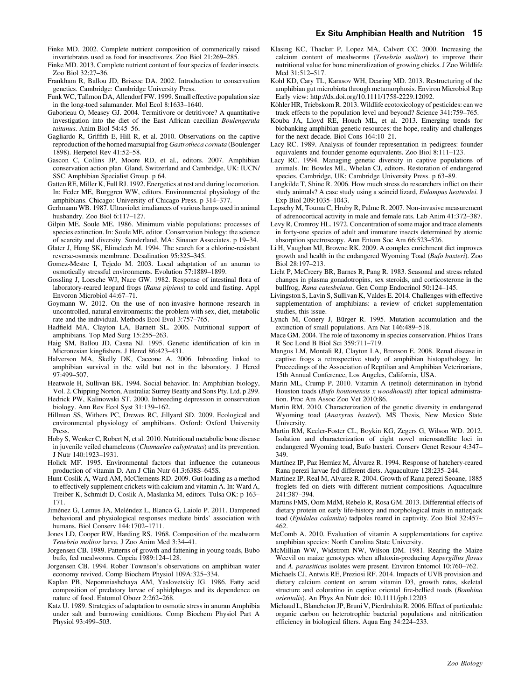#### Ex Situ Amphibian Health and Nutrition 15

Finke MD. 2002. Complete nutrient composition of commerically raised invertebrates used as food for insectivores. Zoo Biol 21:269–285.

Finke MD. 2013. Complete nutrient content of four species of feeder insects. Zoo Biol 32:27–36.

- Frankham R, Ballou JD, Briscoe DA. 2002. Introduction to conservation genetics. Cambridge: Cambridge University Press.
- Funk WC, Tallmon DA, Allendorf FW. 1999. Small effective population size in the long‐toed salamander. Mol Ecol 8:1633–1640.
- Gaborieau O, Measey GJ. 2004. Termitivore or detritivore? A quantitative investigation into the diet of the East African caecilian Boulengerula taitanus. Anim Biol 54:45–56.
- Gagliardo R, Griffith E, Hill R, et al. 2010. Observations on the captive reproduction of the horned marsupial frog Gastrotheca cornuta (Boulenger 1898). Herpetol Rev 41:52–58.
- Gascon C, Collins JP, Moore RD, et al., editors. 2007. Amphibian conservation action plan. Gland, Switzerland and Cambridge, UK: IUCN/ SSC Amphibian Specialist Group. p 64.
- Gatten RE, Miller K, Full RJ. 1992. Energetics at rest and during locomotion. In: Feder ME, Burggren WW, editors. Environmental physiology of the amphibians. Chicago: University of Chicago Press. p 314–377.
- Gerhmann WB. 1987. Ultraviolet irradiances of various lamps used in animal husbandry. Zoo Biol 6:117–127.
- Gilpin ME, Soule ME. 1986. Minimum viable populations: processes of species extinction. In: Soule ME, editor. Conservation biology: the science of scarcity and diversity. Sunderland, MA: Sinauer Associates. p 19–34.
- Glater J, Hong SK, Elimelech M. 1994. The search for a chlorine‐resistant reverse‐osmosis membrane. Desalination 95:325–345.
- Gomez‐Mestre I, Tejedo M. 2003. Local adaptation of an anuran to osmotically stressful environments. Evolution 57:1889–1899.
- Gossling J, Loesche WJ, Nace GW. 1982. Response of intestinal flora of laboratory-reared leopard frogs (Rana pipiens) to cold and fasting. Appl Envoron Microbiol 44:67–71.
- Goymann W. 2012. On the use of non‐invasive hormone research in uncontrolled, natural environments: the problem with sex, diet, metabolic rate and the individual. Methods Ecol Evol 3:757–765.
- Hadfield MA, Clayton LA, Barnett SL. 2006. Nutritional support of amphibians. Top Med Surg 15:255-263.
- Haig SM, Ballou JD, Casna NJ. 1995. Genetic identification of kin in Micronesian kingfishers. J Hered 86:423–431.
- Halverson MA, Skelly DK, Caccone A. 2006. Inbreeding linked to amphibian survival in the wild but not in the laboratory. J Hered 97:499–507.
- Heatwole H, Sullivan BK. 1994. Social behavior. In: Amphibian biology, Vol. 2. Chipping Norton, Australia: Surrey Beatty and Sons Pty. Ltd. p 299.
- Hedrick PW, Kalinowski ST. 2000. Inbreeding depression in conservation biology. Ann Rev Ecol Syst 31:139–162.
- Hillman SS, Withers PC, Drewes RC, Jillyard SD. 2009. Ecological and environmental physiology of amphibians. Oxford: Oxford University Press.
- Hoby S, Wenker C, Robert N, et al. 2010. Nutritional metabolic bone disease in juvenile veiled chameleons (Chamaeleo calyptratus) and its prevention. J Nutr 140:1923–1931.
- Holick MF. 1995. Environmental factors that influence the cutaneous production of vitamin D. Am J Clin Nutr 61.3:638S–645S.
- Hunt‐Coslik A, Ward AM, McClements RD. 2009. Gut loading as a method to effectively supplement crickets with calcium and vitamin A. In: Ward A, Treiber K, Schmidt D, Coslik A, Maslanka M, editors. Tulsa OK: p 163– 171.
- Jiménez G, Lemus JA, Meléndez L, Blanco G, Laiolo P. 2011. Dampened behavioral and physiological responses mediate birds' association with humans. Biol Conserv 144:1702–1711.
- Jones LD, Cooper RW, Harding RS. 1968. Composition of the mealworm Tenebrio molitor larva. J Zoo Anim Med 3:34–41.
- Jorgensen CB. 1989. Patterns of growth and fattening in young toads, Bubo bufo, fed mealworms. Copeia 1989:124–128.
- Jorgensen CB. 1994. Rober Townson's observations on amphibian water economy revived. Comp Biochem Physiol 109A:325–334.
- Kaplan PB, Nepomniashchaya AM, Yaslovetskiy IG. 1986. Fatty acid composition of predatory larvae of aphidphages and its dependence on nature of food. Entomol Obozr 2:262–268.
- Katz U. 1989. Strategies of adaptation to osmotic stress in anuran Amphibia under salt and burrowing conidtions. Comp Biochem Physiol Part A Physiol 93:499–503.
- Klasing KC, Thacker P, Lopez MA, Calvert CC. 2000. Increasing the calcium content of mealworms (Tenebrio molitor) to improve their nutritional value for bone mineralization of growing chicks. J Zoo Wildlife Med 31:512–517.
- Kohl KD, Cary TL, Karasov WH, Dearing MD. 2013. Restructuring of the amphibian gut microbiota through metamorphosis. Environ Microbiol Rep Early view: http://dx.doi.org/10.1111/1758‐2229.12092.
- Köhler HR, Triebskom R. 2013. Wildlife ecotoxicology of pesticides: can we track effects to the population level and beyond? Science 341:759–765.
- Kouba JA, Lloyd RE, Houch ML, et al. 2013. Emerging trends for biobanking amphibian genetic resources: the hope, reality and challenges for the next decade. Biol Cons 164:10–21.
- Lacy RC. 1989. Analysis of founder representation in pedigrees: founder equivalents and founder genome equivalents. Zoo Biol 8:111–123.
- Lacy RC. 1994. Managing genetic diversity in captive populations of animals. In: Bowles ML, Whelan CJ, editors. Restoration of endangered species. Cambridge, UK: Cambridge University Press. p 63–89.
- Langkilde T, Shine R. 2006. How much stress do researchers inflict on their study animals? A case study using a scincid lizard, Eulampus heatwolei. J Exp Biol 209:1035–1043.
- Lepschy M, Touma C, Hruby R, Palme R. 2007. Non‐invasive measurement of adrenocortical activity in male and female rats. Lab Anim 41:372–387.
- Levy R, Cromroy HL. 1972. Concentration of some major and trace elements in forty-one species of adult and immature insects determined by atomic absorption spectroscopy. Ann Entom Soc Am 66:523–526.
- Li H, Vaughan MJ, Browne RK. 2009. A complex enrichment diet improves growth and health in the endangered Wyoming Toad (Bufo baxteri). Zoo Biol 28:197–213.
- Licht P, McCreery BR, Barnes R, Pang R. 1983. Seasonal and stress related changes in plasma gonadotropins, sex steroids, and corticosterone in the bullfrog, Rana catesbeiana. Gen Comp Endocrinol 50:124–145.
- Livingston S, Lavin S, Sullivan K, Valdes E. 2014. Challenges with effective supplementation of amphibians: a review of cricket supplementation studies, this issue.
- Lynch M, Conery J, Bürger R. 1995. Mutation accumulation and the extinction of small populations. Am Nat 146:489–518.
- Mace GM. 2004. The role of taxonomy in species conservation. Philos Trans R Soc Lond B Biol Sci 359:711–719.
- Mangus LM, Montali RJ, Clayton LA, Bronson E. 2008. Renal disease in captive frogs a retrospective study of amphibian histopathology. In: Proceedings of the Association of Reptilian and Amphibian Veterinarians, 15th Annual Conference, Los Angeles, California, USA.
- Marin ML, Crump P. 2010. Vitamin A (retinol) determination in hybrid Houston toads (Bufo houtonensis x woodhousii) after topical administration. Proc Am Assoc Zoo Vet 2010:86.
- Martin RM. 2010. Characterization of the genetic diversity in endangered Wyoming toad (Anaxyrus baxteri). MS Thesis, New Mexico State **University**
- Martin RM, Keeler‐Foster CL, Boykin KG, Zegers G, Wilson WD. 2012. Isolation and characterization of eight novel microsatellite loci in endangered Wyoming toad, Bufo baxteri. Conserv Genet Resour 4:347– 349.
- Martínez IP, Paz Herráez M, Álvarez R. 1994. Response of hatchery‐reared Rana perezi larvae fed different diets. Aquaculture 128:235–244.
- Martinez IP, Real M, Alvarez R. 2004. Growth of Rana perezi Seoane, 1885 froglets fed on diets with different nutrient compositions. Aquaculture 241:387–394.
- Martins FMS, Oom MdM, Rebelo R, Rosa GM. 2013. Differential effects of dietary protein on early life‐history and morphological traits in natterjack toad (Epidalea calamita) tadpoles reared in captivity. Zoo Biol 32:457– 462.
- McComb A. 2010. Evaluation of vitamin A supplementations for captive amphibian species: North Carolina State University.
- McMillian WW, Widstrom NW, Wilson DM. 1981. Rearing the Maize Weevil on maize genotypes when aflatoxin-producing Aspergillus flavus and A. parasiticus isolates were present. Environ Entomol 10:760–762.
- Michaels CJ, Antwis RE, Preziosi RF. 2014. Impacts of UVB provision and dietary calcium content on serum vitamin D3, growth rates, skeletal structure and coloratino in captive oriental fire-bellied toads (Bombina orientalis). An Phys An Nutr doi: 10.1111/jpb.12203
- Michaud L, Blancheton JP, Bruni V, Pierdrahita R. 2006. Effect of particulate organic carbon on heterotrophic bacterial populations and nitrification efficiency in biological filters. Aqua Eng 34:224–233.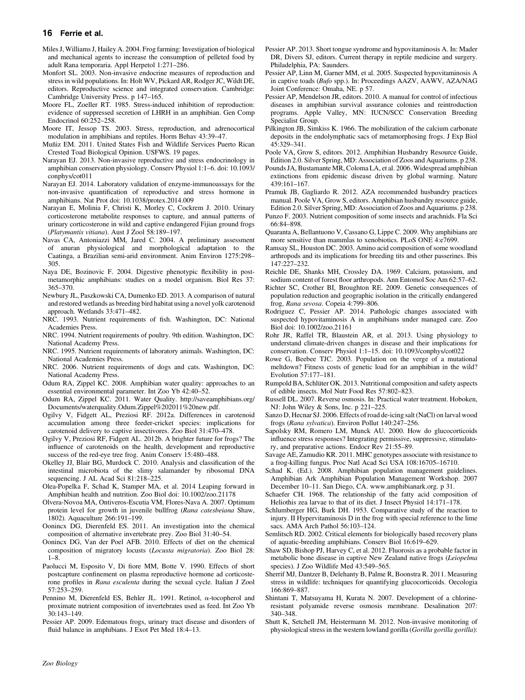- Miles J, Williams J, Hailey A. 2004. Frog farming: Investigation of biological and mechanical agents to increase the consumption of pelleted food by adult Rana temporaria. Appl Herpetol 1:271–286.
- Monfort SL. 2003. Non‐invasive endocrine measures of reproduction and stress in wild populations. In: Holt WV, Pickard AR, Rodger JC, Wildt DE, editors. Reproductive science and integrated conservation. Cambridge: Cambridge University Press. p 147–165.
- Moore FL, Zoeller RT. 1985. Stress‐induced inhibition of reproduction: evidence of suppressed secretion of LHRH in an amphibian. Gen Comp Endocrinol 60:252–258.
- Moore IT, Jessop TS. 2003. Stress, reproduction, and adrenocortical modulation in amphibians and reptiles. Horm Behav 43:39–47.
- Muñiz EM. 2011. United States Fish and Wildlife Services Puerto Rican Crested Toad Biological Opinion. USFWS. 19 pages.
- Narayan EJ. 2013. Non‐invasive reproductive and stress endocrinology in amphibian conservation physiology. Conserv Physiol 1:1–6. doi: 10.1093/ conphys/cot011
- Narayan EJ. 2014. Laboratory validation of enzyme‐immunoassays for the non‐invasive quantification of reproductive and stress hormone in amphibians. Nat Prot doi: 10.1038/protex.2014.009
- Narayan E, Molinia F, Christi K, Morley C, Cockrem J. 2010. Urinary corticosterone metabolite responses to capture, and annual patterns of urinary corticosterone in wild and captive endangered Fijian ground frogs (Platymantis vitiana). Aust J Zool 58:189–197.
- Navas CA, Antoniazzi MM, Jared C. 2004. A preliminary assessment of anuran physiological and morphological adaptation to the Caatinga, a Brazilian semi‐arid environment. Anim Environ 1275:298– 305.
- Naya DE, Bozinovic F. 2004. Digestive phenotypic flexibility in postmetamorphic amphibians: studies on a model organism. Biol Res 37: 365–370.
- Newbury JL, Paszkowski CA, Dumenko ED. 2013. A comparison of natural and restored wetlands as breeding bird habitat using a novel yolk carotenoid approach. Wetlands 33:471–482.
- NRC. 1993. Nutrient requirements of fish. Washington, DC: National Academies Press.
- NRC. 1994. Nutrient requirements of poultry. 9th edition. Washington, DC: National Academy Press.
- NRC. 1995. Nutrient requirements of laboratory animals. Washington, DC: National Academies Press.
- NRC. 2006. Nutrient requirements of dogs and cats. Washington, DC: National Academy Press.
- Odum RA, Zippel KC. 2008. Amphibian water quality: approaches to an essential environmental parameter. Int Zoo Yb 42:40–52.
- Odum RA, Zippel KC. 2011. Water Quality. [http://saveamphibians.org/](http://saveamphibians.org/Documents/waterquality.Odum.Zippel%202011%20new.pdf) [Documents/waterquality.Odum.Zippel%202011%20new.pdf](http://saveamphibians.org/Documents/waterquality.Odum.Zippel%202011%20new.pdf).
- Ogilvy V, Fidgett AL, Preziosi RF. 2012a. Differences in carotenoid accumulation among three feeder‐cricket species: implications for carotenoid delivery to captive insectivores. Zoo Biol 31:470–478.
- Ogilvy V, Preziosi RF, Fidgett AL. 2012b. A brighter future for frogs? The influence of carotenoids on the health, development and reproductive
- success of the red-eye tree frog. Anim Conserv 15:480–488.<br>Okelley JJ, Blair BG, Murdock C. 2010. Analysis and classification of the intestinal microbiota of the slimy salamander by ribosomal DNA sequencing. J AL Acad Sci 81:218–225.
- Olea‐Popelka F, Schad K, Stamper MA, et al. 2014 Leaping forward in Amphibian health and nutrition. Zoo Biol doi: 10.1002/zoo.21178
- Olvera‐Novoa MA, Ontiveros‐Escutia VM, Flores‐Nava A. 2007. Optimum protein level for growth in juvenile bullfrog (Rana catesbeiana Shaw, 1802). Aquaculture 266:191–199.
- Oonincx DG, Dierenfeld ES. 2011. An investigation into the chemical composition of alternative invertebrate prey. Zoo Biol 31:40–54.
- Oonincx DG, Van der Poel AFB. 2010. Effects of diet on the chemical composition of migratory locusts (Locusta migratoria). Zoo Biol 28:  $1 - 8$
- Paolucci M, Esposito V, Di fiore MM, Botte V. 1990. Effects of short postcapture confinement on plasma reproductive hormone ad corticosterone profiles in Rana esculenta during the sexual cycle. Italian J Zool 57:253–259.
- Pennino M, Dierenfeld ES, Behler JL. 1991. Retinol, α-tocopherol and proximate nutrient composition of invertebrates used as feed. Int Zoo Yb 30:143–149.
- Pessier AP. 2009. Edematous frogs, urinary tract disease and disorders of fluid balance in amphibians. J Exot Pet Med 18:4–13.
- Pessier AP. 2013. Short tongue syndrome and hypovitaminosis A. In: Mader DR, Divers SJ, editors. Current therapy in reptile medicine and surgery. Philadelphia, PA: Saunders.
- Pessier AP, Linn M, Garner MM, et al. 2005. Suspected hypovitaminosis A in captive toads (Bufo spp.). In: Proceedings AAZV, AAWV, AZA/NAG Joint Conference: Omaha, NE. p 57.
- Pessier AP, Mendelson JR, editors. 2010. A manual for control of infectious diseases in amphibian survival assurance colonies and reintroduction programs. Apple Valley, MN: IUCN/SCC Conservation Breeding Specialist Group.
- Pilkington JB, Simkiss K. 1966. The mobilization of the calcium carbonate deposits in the endolymphatic sacs of metamorphosing frogs. J Exp Biol 45:329–341.
- Poole VA, Grow S, editors. 2012. Amphibian Husbandry Resource Guide, Edition 2.0. Silver Spring, MD: Association of Zoos and Aquariums. p 238.
- Pounds JA, Bustamante MR, Coloma LA, et al. 2006. Widespread amphibian extinctions from epidemic disease driven by global warming. Nature 439:161–167.
- Pramuk JB, Gagliardo R. 2012. AZA recommended husbandry practices manual. Poole VA, Grow S, editors. Amphibian husbandry resource guide, Edition 2.0. Silver Spring, MD: Association of Zoos and Aquariums. p 238.
- Punzo F. 2003. Nutrient composition of some insects and arachnids. Fla Sci 66:84–898.
- Quaranta A, Bellantuono V, Cassano G, Lippe C. 2009. Why amphibians are more sensitive than mammlas to xenobiotics. PLoS ONE 4:e7699.
- Ramsay SL, Houston DC. 2003. Amino acid composition of some woodland arthropods and its implications for breeding tits and other passerines. Ibis 147:227–232.
- Reichle DE, Shanks MH, Crossley DA. 1969. Calcium, potassium, and sodium content of forest floor arthropods. Ann Entomol Soc Am 62:57–62.
- Richter SC, Crother BI, Broughton RE. 2009. Genetic consequences of population reduction and geographic isolation in the critically endangered frog, Rana sevosa. Copeia 4:799–806.
- Rodriguez C, Pessier AP. 2014. Pathologic changes associated with suspected hypovitaminosis A in amphibians under managed care. Zoo Biol doi: 10.1002/zoo.21161
- Rohr JR, Raffel TR, Blaustein AR, et al. 2013. Using physiology to understand climate‐driven changes in disease and their implications for conservation. Conserv Physiol 1:1–15. doi: 10.1093/conphys/cot022
- Rowe G, Beebee TJC. 2003. Population on the verge of a mutational meltdown? Fitness costs of genetic load for an amphibian in the wild? Evolution 57:177–181.
- Rumpold BA, Schlüter OK. 2013. Nutritional composition and safety aspects of edible insects. Mol Nutr Food Res 57:802–823.
- Russell DL. 2007. Reverse osmosis. In: Practical water treatment. Hoboken, NJ: John Wiley & Sons, Inc. p 221–225.
- Sanzo D, Hecnar SJ. 2006. Effects of road de‐icing salt (NaCl) on larval wood frogs (Rana sylvatica). Environ Pollut 140:247–256.
- Sapolsky RM, Romero LM, Munck AU. 2000. How do glucocorticoids influence stress responses? Integrating permissive, suppressive, stimulatory, and preparative actions. Endocr Rev 21:55–89.
- Savage AE, Zamudio KR. 2011. MHC genotypes associate with resistance to a frog‐killing fungus. Proc Natl Acad Sci USA 108:16705–16710.
- Schad K. (Ed.). 2008. Amphibian population management guidelines. Amphibian Ark Amphibian Population Management Workshop. 2007 December 10–11. San Diego, CA. [www.amphibianark.org.](http://www.amphibianark.org/) p 31.
- Schaefer CH. 1968. The relationship of the fatty acid composition of Heliothis zea larvae to that of its diet. J Insect Physiol 14:171–178.
- Schlumberger HG, Burk DH. 1953. Comparative study of the reaction to injury. II Hypervitaminosis D in the frog with special reference to the lime sacs. AMA Arch Pathol 56:103–124.
- Semlitsch RD. 2002. Critical elements for biologically based recovery plans of aquatic‐breeding amphibians. Conserv Biol 16:619–629.
- Shaw SD, Bishop PJ, Harvey C, et al. 2012. Fluorosis as a probable factor in metabolic bone disease in captive New Zealand native frogs (Leiopelma species). J Zoo Wildlife Med 43:549–565.
- Sherrif MJ, Dantzer B, Delehanty B, Palme R, Boonstra R. 2011. Measuring stress in wildlife: techniques for quantifying glucocorticoids. Oecologia 166:869–887.
- Shintani T, Matsuyama H, Kurata N. 2007. Development of a chlorine‐ resistant polyamide reverse osmosis membrane. Desalination 207: 340–348.
- Shutt K, Setchell JM, Heistermann M. 2012. Non‐invasive monitoring of physiological stress in the western lowland gorilla (Gorilla gorilla gorilla):